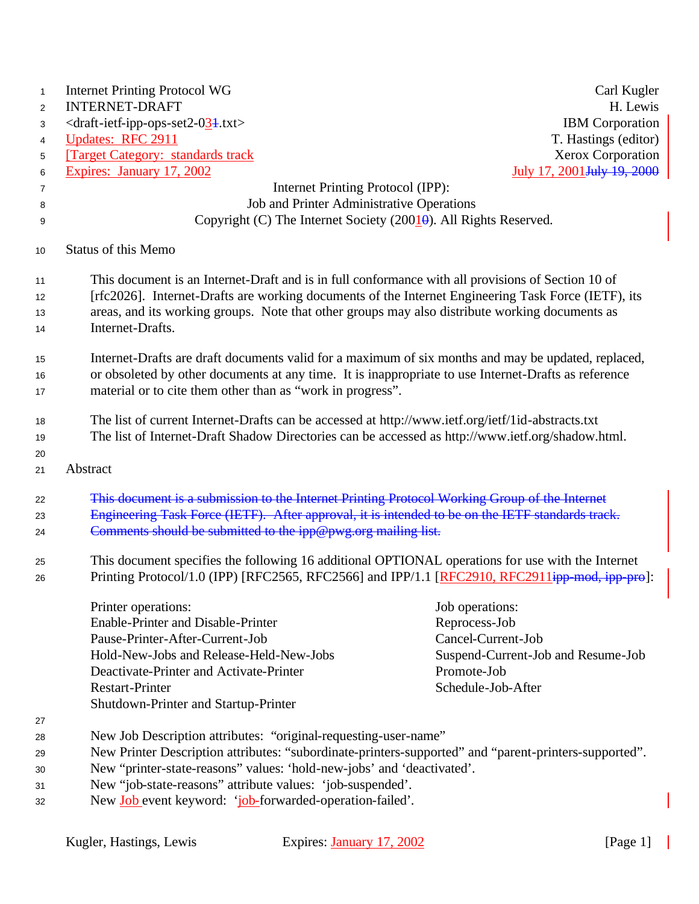| $\mathbf{1}$                            | <b>Internet Printing Protocol WG</b>                                                                  | Carl Kugler                                                                                    |  |  |
|-----------------------------------------|-------------------------------------------------------------------------------------------------------|------------------------------------------------------------------------------------------------|--|--|
| <b>INTERNET-DRAFT</b><br>$\overline{2}$ |                                                                                                       |                                                                                                |  |  |
| 3                                       | $\langle$ draft-ietf-ipp-ops-set2-024.txt>                                                            | <b>IBM</b> Corporation                                                                         |  |  |
| 4                                       | <b>Updates: RFC 2911</b>                                                                              | T. Hastings (editor)                                                                           |  |  |
| 5                                       | <b>Target Category: standards track</b>                                                               | Xerox Corporation                                                                              |  |  |
| 6                                       | Expires: January 17, 2002                                                                             | July 17, 2001 July 19, 2000                                                                    |  |  |
| 7                                       | Internet Printing Protocol (IPP):                                                                     |                                                                                                |  |  |
| 8                                       | Job and Printer Administrative Operations                                                             |                                                                                                |  |  |
| 9                                       |                                                                                                       | Copyright (C) The Internet Society (2001 $\theta$ ). All Rights Reserved.                      |  |  |
| 10                                      | Status of this Memo                                                                                   |                                                                                                |  |  |
| 11                                      | This document is an Internet-Draft and is in full conformance with all provisions of Section 10 of    |                                                                                                |  |  |
| 12                                      | [rfc2026]. Internet-Drafts are working documents of the Internet Engineering Task Force (IETF), its   |                                                                                                |  |  |
| 13                                      | areas, and its working groups. Note that other groups may also distribute working documents as        |                                                                                                |  |  |
| 14                                      | Internet-Drafts.                                                                                      |                                                                                                |  |  |
| 15                                      | Internet-Drafts are draft documents valid for a maximum of six months and may be updated, replaced,   |                                                                                                |  |  |
| 16                                      | or obsoleted by other documents at any time. It is inappropriate to use Internet-Drafts as reference  |                                                                                                |  |  |
| 17                                      | material or to cite them other than as "work in progress".                                            |                                                                                                |  |  |
| 18                                      | The list of current Internet-Drafts can be accessed at http://www.ietf.org/ietf/1id-abstracts.txt     |                                                                                                |  |  |
| 19                                      | The list of Internet-Draft Shadow Directories can be accessed as http://www.ietf.org/shadow.html.     |                                                                                                |  |  |
| 20                                      |                                                                                                       |                                                                                                |  |  |
| 21                                      | Abstract                                                                                              |                                                                                                |  |  |
| 22                                      | This document is a submission to the Internet Printing Protocol Working Group of the Internet         |                                                                                                |  |  |
| 23                                      | Engineering Task Force (IETF). After approval, it is intended to be on the IETF standards track.      |                                                                                                |  |  |
| 24                                      | Comments should be submitted to the ipp@pwg.org mailing list.                                         |                                                                                                |  |  |
| 25                                      | This document specifies the following 16 additional OPTIONAL operations for use with the Internet     |                                                                                                |  |  |
| 26                                      |                                                                                                       | Printing Protocol/1.0 (IPP) [RFC2565, RFC2566] and IPP/1.1 [RFC2910, RFC2911ipp-mod, ipp-pro]: |  |  |
|                                         | Printer operations:                                                                                   | Job operations:                                                                                |  |  |
|                                         | Enable-Printer and Disable-Printer                                                                    | Reprocess-Job                                                                                  |  |  |
|                                         | Pause-Printer-After-Current-Job                                                                       | Cancel-Current-Job                                                                             |  |  |
|                                         | Hold-New-Jobs and Release-Held-New-Jobs                                                               | Suspend-Current-Job and Resume-Job                                                             |  |  |
|                                         | Deactivate-Printer and Activate-Printer                                                               | Promote-Job                                                                                    |  |  |
|                                         | <b>Restart-Printer</b>                                                                                | Schedule-Job-After                                                                             |  |  |
|                                         | Shutdown-Printer and Startup-Printer                                                                  |                                                                                                |  |  |
| 27                                      |                                                                                                       |                                                                                                |  |  |
| 28                                      | New Job Description attributes: "original-requesting-user-name"                                       |                                                                                                |  |  |
| 29                                      | New Printer Description attributes: "subordinate-printers-supported" and "parent-printers-supported". |                                                                                                |  |  |
| 30                                      | New "printer-state-reasons" values: 'hold-new-jobs' and 'deactivated'.                                |                                                                                                |  |  |
| 31                                      | New "job-state-reasons" attribute values: 'job-suspended'.                                            |                                                                                                |  |  |
| 32                                      | New Job event keyword: 'job-forwarded-operation-failed'.                                              |                                                                                                |  |  |

 $\mathbb{R}^2$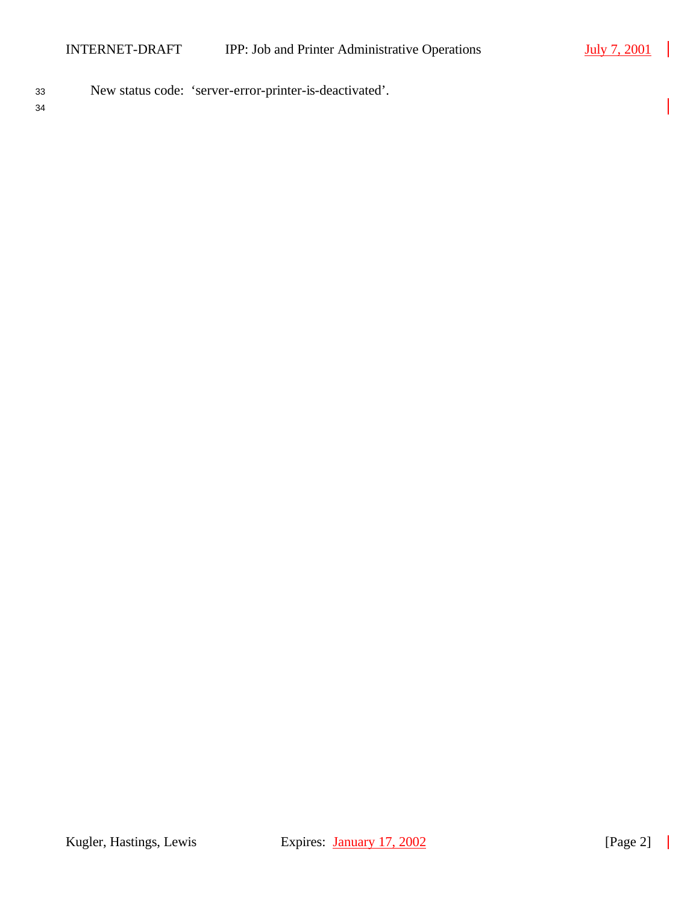$\blacksquare$ 

- <sup>33</sup> New status code: 'server-error-printer-is-deactivated'.
- 34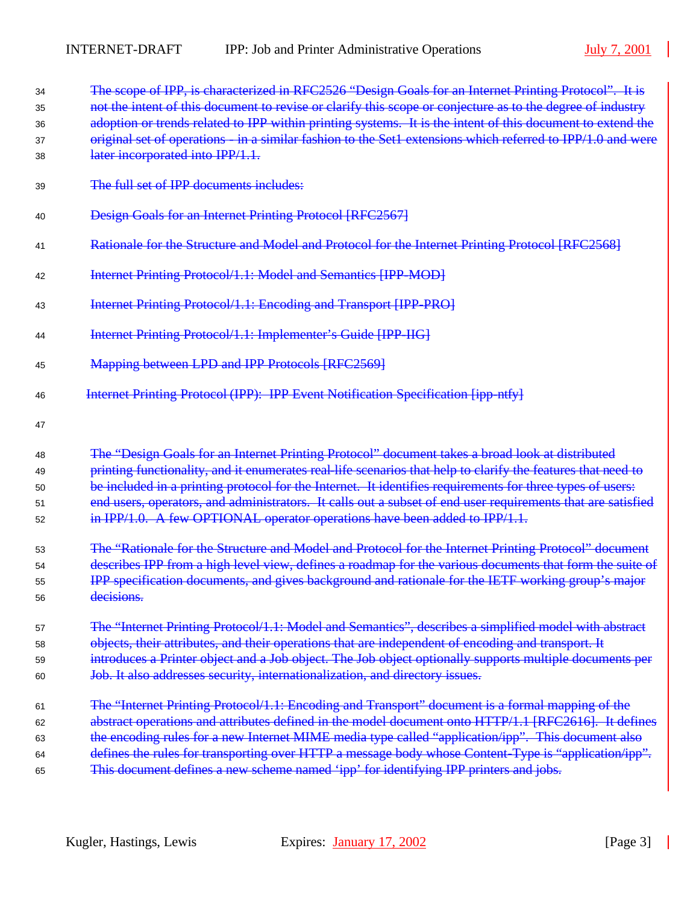| 34<br>35 | The scope of IPP, is characterized in RFC2526 "Design Goals for an Internet Printing Protocol". It is<br>not the intent of this document to revise or clarify this scope or conjecture as to the degree of industry |  |  |  |
|----------|---------------------------------------------------------------------------------------------------------------------------------------------------------------------------------------------------------------------|--|--|--|
| 36       | adoption or trends related to IPP within printing systems. It is the intent of this document to extend the                                                                                                          |  |  |  |
| 37       | original set of operations - in a similar fashion to the Set1 extensions which referred to IPP/1.0 and were                                                                                                         |  |  |  |
| 38       | later incorporated into IPP/1.1.                                                                                                                                                                                    |  |  |  |
| 39       | The full set of IPP documents includes:                                                                                                                                                                             |  |  |  |
| 40       | Design Goals for an Internet Printing Protocol [RFC2567]                                                                                                                                                            |  |  |  |
| 41       | Rationale for the Structure and Model and Protocol for the Internet Printing Protocol [RFC2568]                                                                                                                     |  |  |  |
| 42       | Internet Printing Protocol/1.1: Model and Semantics [IPP-MOD]                                                                                                                                                       |  |  |  |
| 43       | Internet Printing Protocol/1.1: Encoding and Transport [IPP-PRO]                                                                                                                                                    |  |  |  |
| 44       | Internet Printing Protocol/1.1: Implementer's Guide [IPP-IIG]                                                                                                                                                       |  |  |  |
| 45       | Mapping between LPD and IPP Protocols [RFC2569]                                                                                                                                                                     |  |  |  |
| 46       | Internet Printing Protocol (IPP): IPP Event Notification Specification [ipp ntfy]                                                                                                                                   |  |  |  |
| 47       |                                                                                                                                                                                                                     |  |  |  |
| 48       | The "Design Goals for an Internet Printing Protocol" document takes a broad look at distributed                                                                                                                     |  |  |  |
| 49       | printing functionality, and it enumerates real-life scenarios that help to clarify the features that need to                                                                                                        |  |  |  |
| 50       | be included in a printing protocol for the Internet. It identifies requirements for three types of users:                                                                                                           |  |  |  |
| 51       | end users, operators, and administrators. It calls out a subset of end user requirements that are satisfied                                                                                                         |  |  |  |
| 52       | in IPP/1.0. A few OPTIONAL operator operations have been added to IPP/1.1.                                                                                                                                          |  |  |  |
| 53       | The "Rationale for the Structure and Model and Protocol for the Internet Printing Protocol" document                                                                                                                |  |  |  |
| 54       | describes IPP from a high level view, defines a roadmap for the various documents that form the suite of                                                                                                            |  |  |  |
| 55       | IPP specification documents, and gives background and rationale for the IETF working group's major                                                                                                                  |  |  |  |
| 56       | decisions.                                                                                                                                                                                                          |  |  |  |
| 57       | The "Internet Printing Protocol/1.1: Model and Semantics", describes a simplified model with abstract                                                                                                               |  |  |  |
| 58       | objects, their attributes, and their operations that are independent of encoding and transport. It                                                                                                                  |  |  |  |
| 59       | introduces a Printer object and a Job object. The Job object optionally supports multiple documents per                                                                                                             |  |  |  |
| 60       | Job. It also addresses security, internationalization, and directory issues.                                                                                                                                        |  |  |  |
| 61       | The "Internet Printing Protocol/1.1: Encoding and Transport" document is a formal mapping of the                                                                                                                    |  |  |  |
| 62       | abstract operations and attributes defined in the model document onto HTTP/1.1 [RFC2616]. It defines                                                                                                                |  |  |  |
| 63       | the encoding rules for a new Internet MIME media type called "application/ipp". This document also                                                                                                                  |  |  |  |
| 64       | defines the rules for transporting over HTTP a message body whose Content-Type is "application/ipp".                                                                                                                |  |  |  |
| 65       | This document defines a new scheme named 'ipp' for identifying IPP printers and jobs.                                                                                                                               |  |  |  |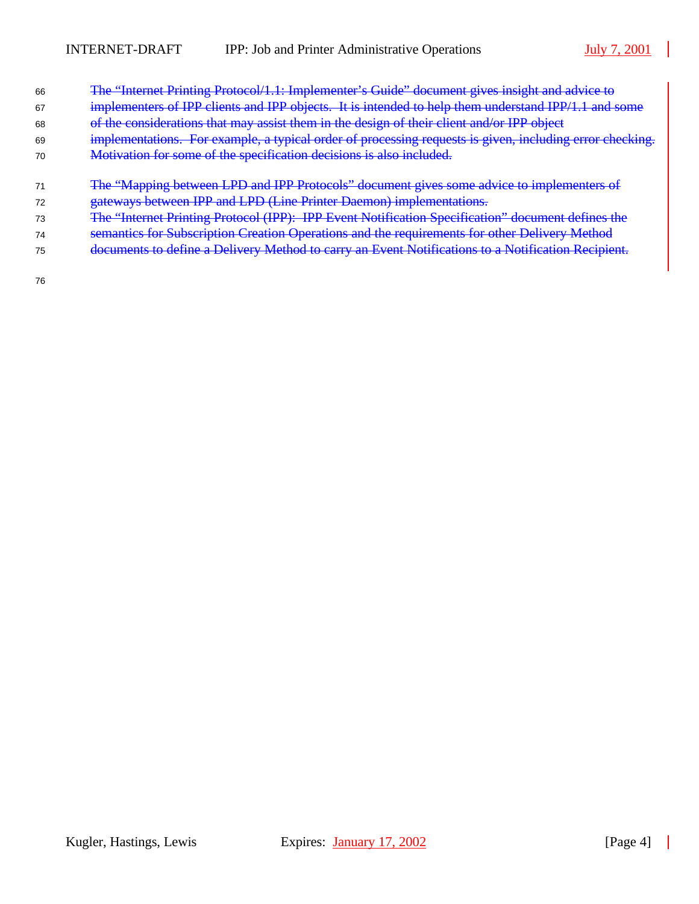$\blacksquare$ 

| 66 | The "Internet Printing Protocol/1.1: Implementer's Guide" document gives insight and advice to           |
|----|----------------------------------------------------------------------------------------------------------|
| 67 | implementers of IPP clients and IPP objects. It is intended to help them understand IPP/1.1 and some     |
| 68 | of the considerations that may assist them in the design of their client and/or IPP object               |
| 69 | implementations. For example, a typical order of processing requests is given, including error checking. |
| 70 | Motivation for some of the specification decisions is also included.                                     |
|    |                                                                                                          |
| 71 | The "Mapping between LPD and IPP Protocols" document gives some advice to implementers of                |
|    | gateways between IPP and LPD (Line Printer Daemon) implementations.                                      |
| 73 | The "Internet Printing Protocol (IPP): IPP Event Notification Specification" document defines the        |
| 74 | semantics for Subscription Creation Operations and the requirements for other Delivery Method            |
| 75 | documents to define a Delivery Method to carry an Event Notifications to a Notification Recipient.       |
|    |                                                                                                          |
| 76 |                                                                                                          |

Kugler, Hastings, Lewis Expires: January 17, 2002 [Page 4]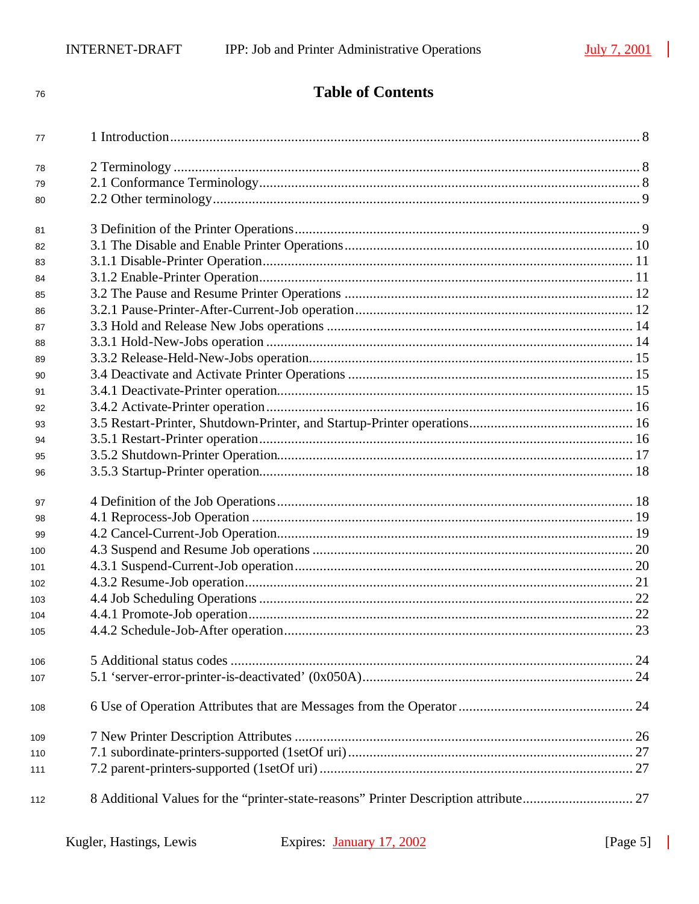$77\,$ 

 ${\bf 78}$ 

 $90\,$ 

 $97\,$ 

**Table of Contents** 

## Kugler, Hastings, Lewis

 $\blacksquare$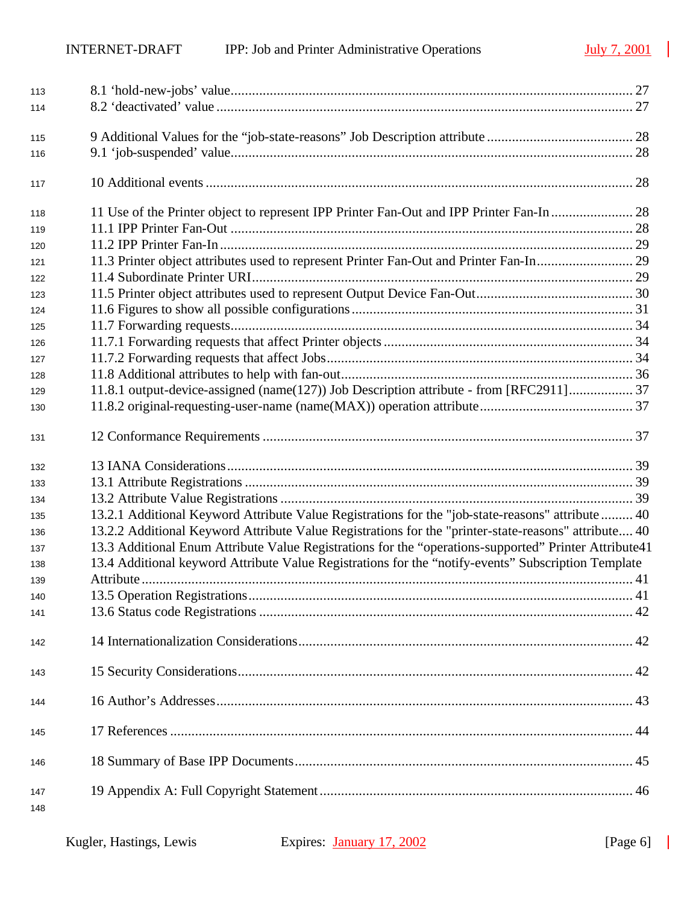$\mathbb{R}^2$ 

| 113 |                                                                                                       |  |
|-----|-------------------------------------------------------------------------------------------------------|--|
| 114 |                                                                                                       |  |
|     |                                                                                                       |  |
| 115 |                                                                                                       |  |
| 116 |                                                                                                       |  |
| 117 |                                                                                                       |  |
| 118 |                                                                                                       |  |
| 119 |                                                                                                       |  |
| 120 |                                                                                                       |  |
| 121 | 11.3 Printer object attributes used to represent Printer Fan-Out and Printer Fan-In 29                |  |
| 122 |                                                                                                       |  |
| 123 |                                                                                                       |  |
| 124 |                                                                                                       |  |
| 125 |                                                                                                       |  |
| 126 |                                                                                                       |  |
| 127 |                                                                                                       |  |
| 128 |                                                                                                       |  |
| 129 | 11.8.1 output-device-assigned (name(127)) Job Description attribute - from [RFC2911]                  |  |
| 130 |                                                                                                       |  |
| 131 |                                                                                                       |  |
| 132 |                                                                                                       |  |
| 133 |                                                                                                       |  |
| 134 |                                                                                                       |  |
| 135 | 13.2.1 Additional Keyword Attribute Value Registrations for the "job-state-reasons" attribute  40     |  |
| 136 | 13.2.2 Additional Keyword Attribute Value Registrations for the "printer-state-reasons" attribute 40  |  |
| 137 | 13.3 Additional Enum Attribute Value Registrations for the "operations-supported" Printer Attribute41 |  |
| 138 | 13.4 Additional keyword Attribute Value Registrations for the "notify-events" Subscription Template   |  |
| 139 |                                                                                                       |  |
| 140 |                                                                                                       |  |
| 141 |                                                                                                       |  |
| 142 |                                                                                                       |  |
| 143 |                                                                                                       |  |
|     |                                                                                                       |  |
| 144 |                                                                                                       |  |
| 145 |                                                                                                       |  |
| 146 |                                                                                                       |  |

 $\blacksquare$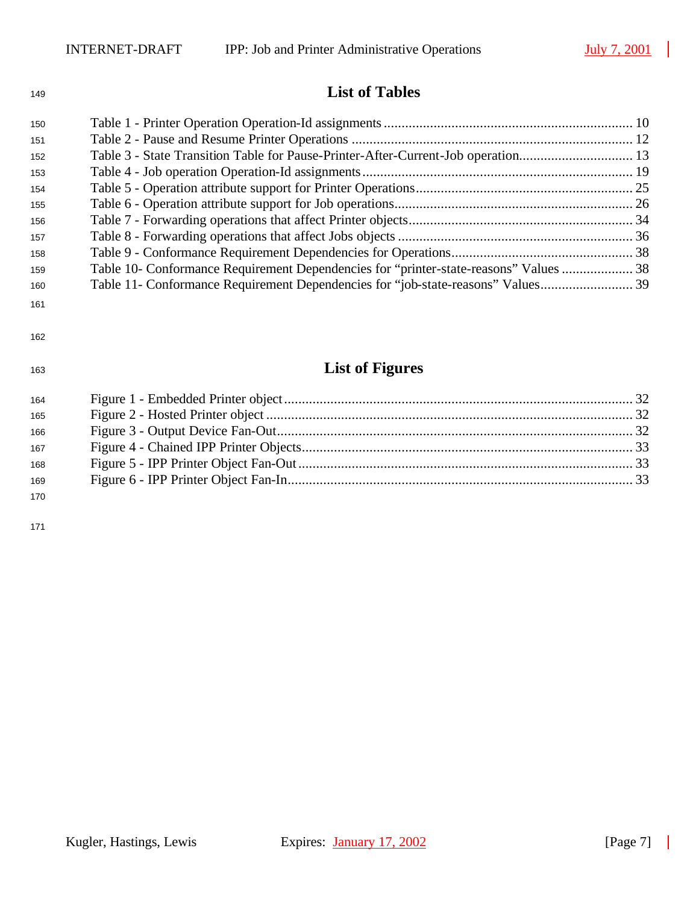## **List of Tables**

| 150 |                                                                                       |  |
|-----|---------------------------------------------------------------------------------------|--|
| 151 |                                                                                       |  |
| 152 | Table 3 - State Transition Table for Pause-Printer-After-Current-Job operation 13     |  |
| 153 |                                                                                       |  |
| 154 |                                                                                       |  |
| 155 |                                                                                       |  |
| 156 |                                                                                       |  |
| 157 |                                                                                       |  |
| 158 |                                                                                       |  |
| 159 | Table 10- Conformance Requirement Dependencies for "printer-state-reasons" Values  38 |  |
| 160 |                                                                                       |  |
| 161 |                                                                                       |  |
| 162 |                                                                                       |  |
| 163 | <b>List of Figures</b>                                                                |  |
| 164 |                                                                                       |  |
| 165 |                                                                                       |  |
| 166 |                                                                                       |  |
| 167 |                                                                                       |  |
| 168 |                                                                                       |  |

Figure 6 - IPP Printer Object Fan-In................................................................................................. 33

 $\overline{\phantom{a}}$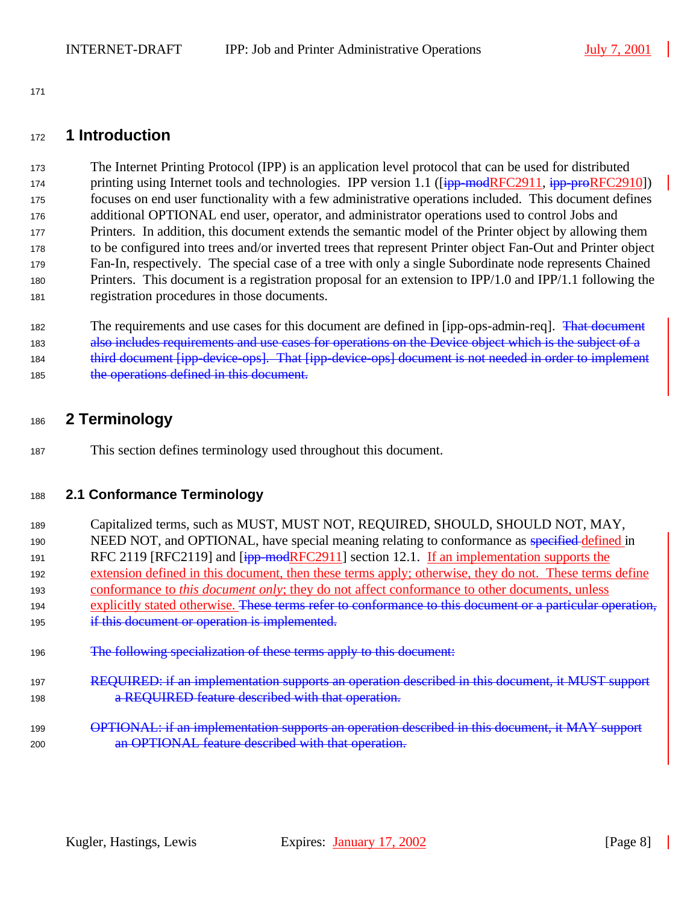## **1 Introduction**

 The Internet Printing Protocol (IPP) is an application level protocol that can be used for distributed 174 printing using Internet tools and technologies. IPP version 1.1 ([ipp-modRFC2911, ipp-proRFC2910]) focuses on end user functionality with a few administrative operations included. This document defines additional OPTIONAL end user, operator, and administrator operations used to control Jobs and Printers. In addition, this document extends the semantic model of the Printer object by allowing them to be configured into trees and/or inverted trees that represent Printer object Fan-Out and Printer object Fan-In, respectively. The special case of a tree with only a single Subordinate node represents Chained Printers. This document is a registration proposal for an extension to IPP/1.0 and IPP/1.1 following the registration procedures in those documents.

182 The requirements and use cases for this document are defined in [ipp-ops-admin-req]. That document also includes requirements and use cases for operations on the Device object which is the subject of a 184 third document [ipp-device-ops]. That [ipp-device-ops] document is not needed in order to implement 185 the operations defined in this document.

## **2 Terminology**

This section defines terminology used throughout this document.

## **2.1 Conformance Terminology**

 Capitalized terms, such as MUST, MUST NOT, REQUIRED, SHOULD, SHOULD NOT, MAY, 190 NEED NOT, and OPTIONAL, have special meaning relating to conformance as specified defined in 191 RFC 2119 [RFC2119] and  $\overline{1}$ <sub>ipp-mod</sub>RFC2911] section 12.1. If an implementation supports the extension defined in this document, then these terms apply; otherwise, they do not. These terms define conformance to *this document only*; they do not affect conformance to other documents, unless 194 explicitly stated otherwise. These terms refer to conformance to this document or a particular operation, **if this document or operation is implemented.**  The following specialization of these terms apply to this document: REQUIRED: if an implementation supports an operation described in this document, it MUST support

- **a REQUIRED feature described with that operation.**
- **OPTIONAL: if an implementation supports an operation described in this document, it MAY support** an OPTIONAL feature described with that operation.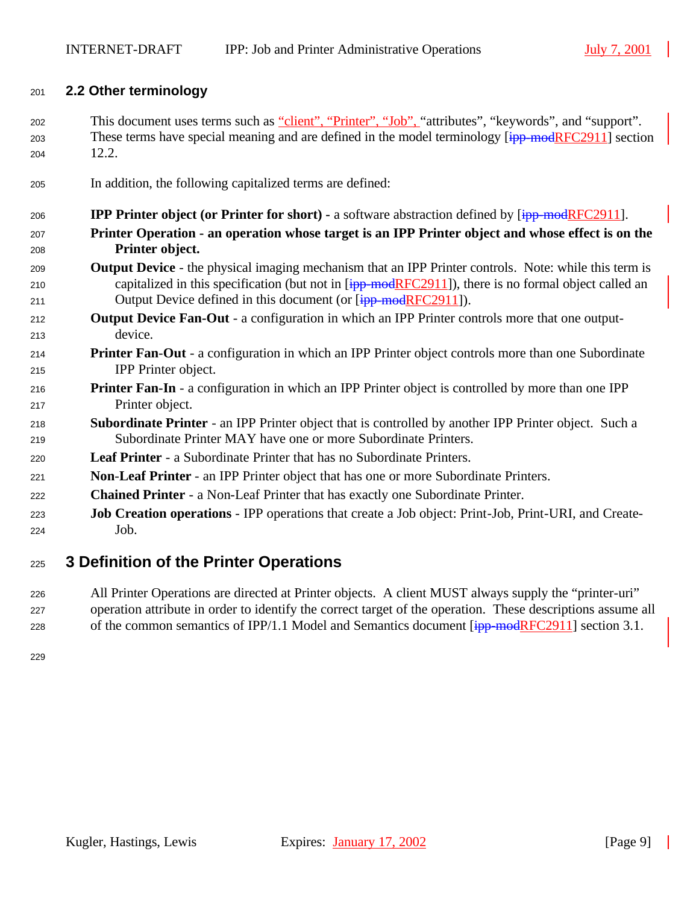#### **2.2 Other terminology**

- 202 This document uses terms such as "client", "Printer", "Job", "attributes", "keywords", and "support". 203 These terms have special meaning and are defined in the model terminology  $\overline{[\text{ipp-modelRFC2911}]}$  section 12.2.
- In addition, the following capitalized terms are defined:
- **IPP Printer object (or Printer for short) -** a software abstraction defined by [ipp-modRFC2911]. **Printer Operation - an operation whose target is an IPP Printer object and whose effect is on the Printer object. Output Device** - the physical imaging mechanism that an IPP Printer controls. Note: while this term is 210 capitalized in this specification (but not in  $\overline{I_{\text{HP}}\text{mod}$ RFC2911]), there is no formal object called an 211 Output Device defined in this document (or [ipp-modRFC2911]). **Output Device Fan-Out** - a configuration in which an IPP Printer controls more that one output- device. **Printer Fan**-**Out** - a configuration in which an IPP Printer object controls more than one Subordinate IPP Printer object. **Printer Fan-In** - a configuration in which an IPP Printer object is controlled by more than one IPP Printer object. **Subordinate Printer** - an IPP Printer object that is controlled by another IPP Printer object. Such a Subordinate Printer MAY have one or more Subordinate Printers. **Leaf Printer** - a Subordinate Printer that has no Subordinate Printers. **Non**-**Leaf Printer** - an IPP Printer object that has one or more Subordinate Printers. **Chained Printer** - a Non-Leaf Printer that has exactly one Subordinate Printer.
- **Job Creation operations**  IPP operations that create a Job object: Print-Job, Print-URI, and Create-Job.

## **3 Definition of the Printer Operations**

 All Printer Operations are directed at Printer objects. A client MUST always supply the "printer-uri" operation attribute in order to identify the correct target of the operation. These descriptions assume all 228 of the common semantics of IPP/1.1 Model and Semantics document  $\frac{1}{1}$  =  $\frac{1}{1}$  section 3.1.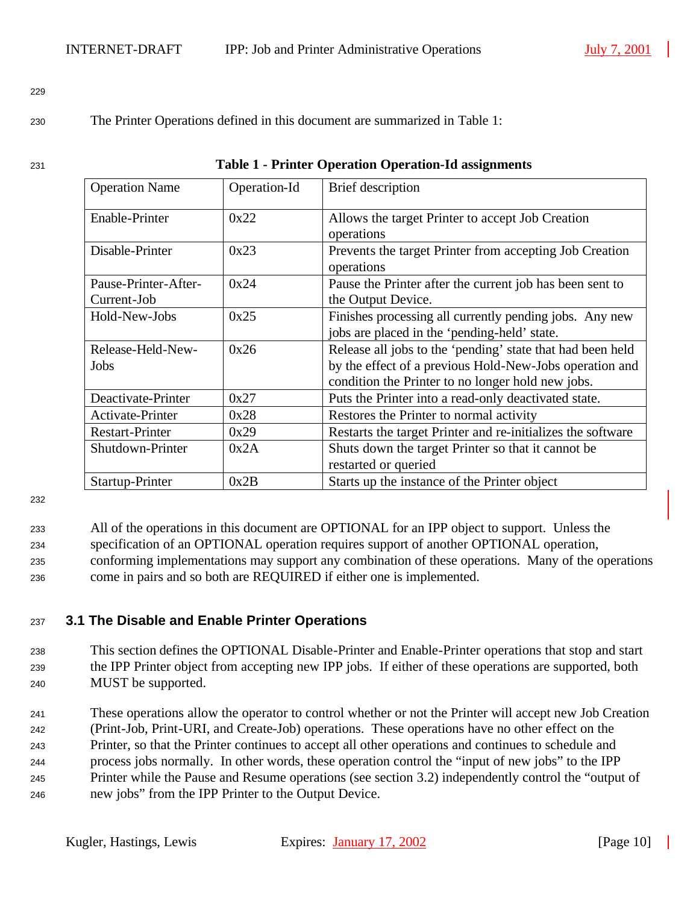#### <sup>230</sup> The Printer Operations defined in this document are summarized in Table 1:

| ×<br>۰. |  |
|---------|--|

229

#### <sup>231</sup> **Table 1 - Printer Operation Operation-Id assignments**

| <b>Operation Name</b><br>Operation-Id |      | Brief description                                                     |
|---------------------------------------|------|-----------------------------------------------------------------------|
| 0x22<br>Enable-Printer                |      | Allows the target Printer to accept Job Creation                      |
| Disable-Printer                       | 0x23 | operations<br>Prevents the target Printer from accepting Job Creation |
|                                       |      | operations                                                            |
| Pause-Printer-After-                  | 0x24 | Pause the Printer after the current job has been sent to              |
| Current-Job                           |      | the Output Device.                                                    |
| Hold-New-Jobs                         | 0x25 | Finishes processing all currently pending jobs. Any new               |
|                                       |      | jobs are placed in the 'pending-held' state.                          |
| Release-Held-New-                     | 0x26 | Release all jobs to the 'pending' state that had been held            |
| Jobs                                  |      | by the effect of a previous Hold-New-Jobs operation and               |
|                                       |      | condition the Printer to no longer hold new jobs.                     |
| Deactivate-Printer                    | 0x27 | Puts the Printer into a read-only deactivated state.                  |
| <b>Activate-Printer</b>               | 0x28 | Restores the Printer to normal activity                               |
| <b>Restart-Printer</b>                | 0x29 | Restarts the target Printer and re-initializes the software           |
| Shutdown-Printer                      | 0x2A | Shuts down the target Printer so that it cannot be                    |
|                                       |      | restarted or queried                                                  |
| Startup-Printer                       | 0x2B | Starts up the instance of the Printer object                          |

232

 All of the operations in this document are OPTIONAL for an IPP object to support. Unless the specification of an OPTIONAL operation requires support of another OPTIONAL operation, conforming implementations may support any combination of these operations. Many of the operations come in pairs and so both are REQUIRED if either one is implemented.

### <sup>237</sup> **3.1 The Disable and Enable Printer Operations**

- <sup>238</sup> This section defines the OPTIONAL Disable-Printer and Enable-Printer operations that stop and start <sup>239</sup> the IPP Printer object from accepting new IPP jobs. If either of these operations are supported, both <sup>240</sup> MUST be supported.
- <sup>241</sup> These operations allow the operator to control whether or not the Printer will accept new Job Creation <sup>242</sup> (Print-Job, Print-URI, and Create-Job) operations. These operations have no other effect on the <sup>243</sup> Printer, so that the Printer continues to accept all other operations and continues to schedule and <sup>244</sup> process jobs normally. In other words, these operation control the "input of new jobs" to the IPP <sup>245</sup> Printer while the Pause and Resume operations (see section 3.2) independently control the "output of <sup>246</sup> new jobs" from the IPP Printer to the Output Device.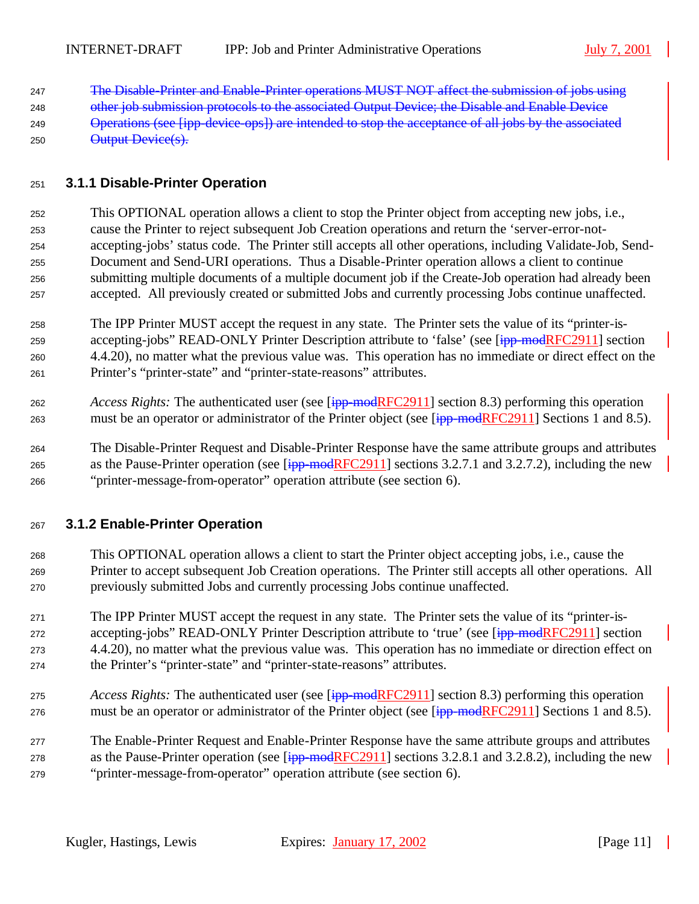The Disable-Printer and Enable-Printer operations MUST NOT affect the submission of jobs using

- 248 other job submission protocols to the associated Output Device; the Disable and Enable Device
- Operations (see [ipp-device-ops]) are intended to stop the acceptance of all jobs by the associated 250 Output Device(s).

#### **3.1.1 Disable-Printer Operation**

- This OPTIONAL operation allows a client to stop the Printer object from accepting new jobs, i.e., cause the Printer to reject subsequent Job Creation operations and return the 'server-error-not- accepting-jobs' status code. The Printer still accepts all other operations, including Validate-Job, Send- Document and Send-URI operations. Thus a Disable-Printer operation allows a client to continue submitting multiple documents of a multiple document job if the Create-Job operation had already been accepted. All previously created or submitted Jobs and currently processing Jobs continue unaffected.
- The IPP Printer MUST accept the request in any state. The Printer sets the value of its "printer-is-259 accepting-jobs" READ-ONLY Printer Description attribute to 'false' (see [ipp-modRFC2911] section 4.4.20), no matter what the previous value was. This operation has no immediate or direct effect on the Printer's "printer-state" and "printer-state-reasons" attributes.
- *Access Rights:* The authenticated user (see [ipp-modRFC2911] section 8.3) performing this operation 263 must be an operator or administrator of the Printer object (see [ipp-modRFC2911] Sections 1 and 8.5).
- The Disable-Printer Request and Disable-Printer Response have the same attribute groups and attributes 265 as the Pause-Printer operation (see  $[ipp$ -modRFC2911] sections 3.2.7.1 and 3.2.7.2), including the new "printer-message-from-operator" operation attribute (see section 6).

### **3.1.2 Enable-Printer Operation**

- This OPTIONAL operation allows a client to start the Printer object accepting jobs, i.e., cause the Printer to accept subsequent Job Creation operations. The Printer still accepts all other operations. All previously submitted Jobs and currently processing Jobs continue unaffected.
- The IPP Printer MUST accept the request in any state. The Printer sets the value of its "printer-is-272 accepting-jobs" READ-ONLY Printer Description attribute to 'true' (see [ipp-modRFC2911] section 4.4.20), no matter what the previous value was. This operation has no immediate or direction effect on the Printer's "printer-state" and "printer-state-reasons" attributes.
- *Access Rights:* The authenticated user (see [ipp-modRFC2911] section 8.3) performing this operation 276 must be an operator or administrator of the Printer object (see [ipp-modRFC2911] Sections 1 and 8.5).
- The Enable-Printer Request and Enable-Printer Response have the same attribute groups and attributes 278 as the Pause-Printer operation (see  $\frac{1}{1}$  = modRFC2911] sections 3.2.8.1 and 3.2.8.2), including the new "printer-message-from-operator" operation attribute (see section 6).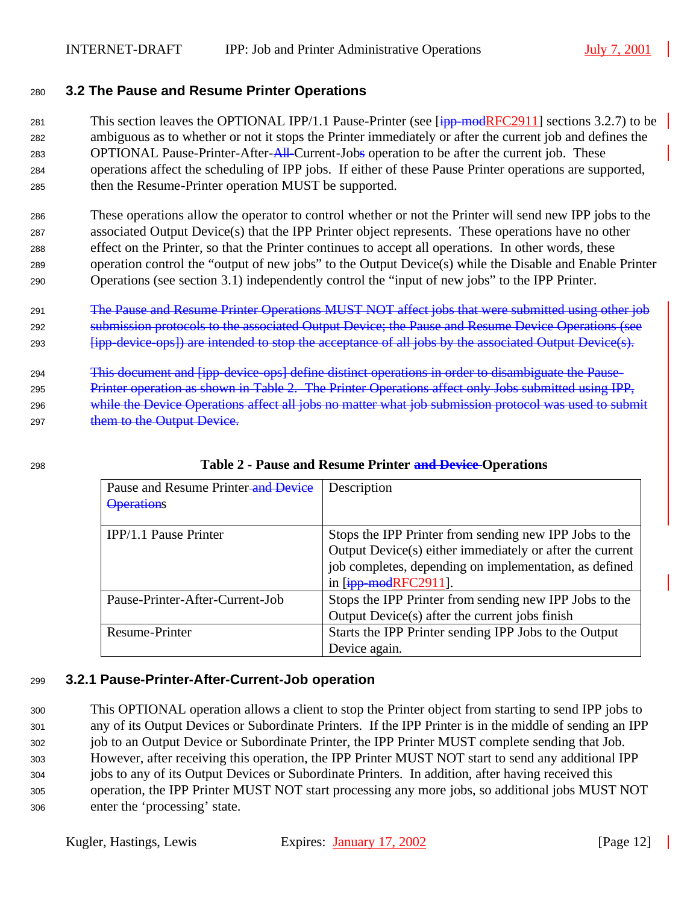### <sup>280</sup> **3.2 The Pause and Resume Printer Operations**

281 This section leaves the OPTIONAL IPP/1.1 Pause-Printer (see  $\overline{[ipp\text{-}modRFC2911]}$  sections 3.2.7) to be <sup>282</sup> ambiguous as to whether or not it stops the Printer immediately or after the current job and defines the 283 OPTIONAL Pause-Printer-After-All-Current-Jobs operation to be after the current job. These <sup>284</sup> operations affect the scheduling of IPP jobs. If either of these Pause Printer operations are supported, <sup>285</sup> then the Resume-Printer operation MUST be supported.

 These operations allow the operator to control whether or not the Printer will send new IPP jobs to the associated Output Device(s) that the IPP Printer object represents. These operations have no other effect on the Printer, so that the Printer continues to accept all operations. In other words, these operation control the "output of new jobs" to the Output Device(s) while the Disable and Enable Printer Operations (see section 3.1) independently control the "input of new jobs" to the IPP Printer.

- <sup>291</sup> The Pause and Resume Printer Operations MUST NOT affect jobs that were submitted using other job <sup>292</sup> submission protocols to the associated Output Device; the Pause and Resume Device Operations (see <sup>293</sup> [ipp-device-ops]) are intended to stop the acceptance of all jobs by the associated Output Device(s).
- <sup>294</sup> This document and [ipp-device-ops] define distinct operations in order to disambiguate the Pause-<sup>295</sup> Printer operation as shown in Table 2. The Printer Operations affect only Jobs submitted using IPP, 296 while the Device Operations affect all jobs no matter what job submission protocol was used to submit 297 them to the Output Device.

| Pause and Resume Printer-and Device | Description                                              |
|-------------------------------------|----------------------------------------------------------|
| <b>Operations</b>                   |                                                          |
| IPP/1.1 Pause Printer               | Stops the IPP Printer from sending new IPP Jobs to the   |
|                                     | Output Device(s) either immediately or after the current |
|                                     | job completes, depending on implementation, as defined   |
|                                     | in $[ipp$ -modRFC2911].                                  |
| Pause-Printer-After-Current-Job     | Stops the IPP Printer from sending new IPP Jobs to the   |
|                                     | Output Device(s) after the current jobs finish           |
| Resume-Printer                      | Starts the IPP Printer sending IPP Jobs to the Output    |
|                                     | Device again.                                            |

### <sup>298</sup> **Table 2 - Pause and Resume Printer and Device Operations**

### <sup>299</sup> **3.2.1 Pause-Printer-After-Current-Job operation**

 This OPTIONAL operation allows a client to stop the Printer object from starting to send IPP jobs to any of its Output Devices or Subordinate Printers. If the IPP Printer is in the middle of sending an IPP job to an Output Device or Subordinate Printer, the IPP Printer MUST complete sending that Job. However, after receiving this operation, the IPP Printer MUST NOT start to send any additional IPP jobs to any of its Output Devices or Subordinate Printers. In addition, after having received this operation, the IPP Printer MUST NOT start processing any more jobs, so additional jobs MUST NOT enter the 'processing' state.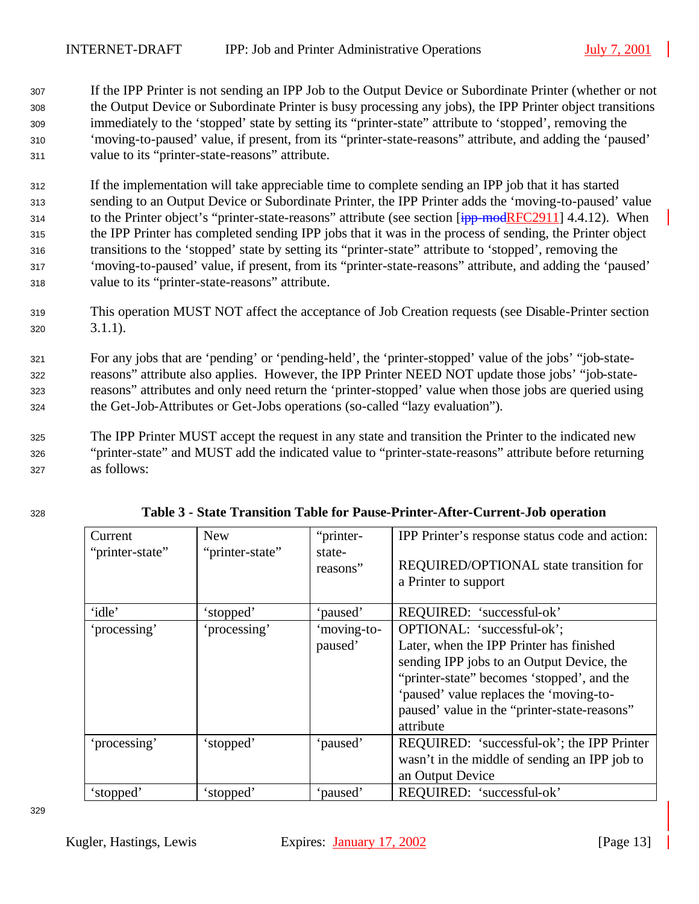- <sup>307</sup> If the IPP Printer is not sending an IPP Job to the Output Device or Subordinate Printer (whether or not <sup>308</sup> the Output Device or Subordinate Printer is busy processing any jobs), the IPP Printer object transitions <sup>309</sup> immediately to the 'stopped' state by setting its "printer-state" attribute to 'stopped', removing the <sup>310</sup> 'moving-to-paused' value, if present, from its "printer-state-reasons" attribute, and adding the 'paused' <sup>311</sup> value to its "printer-state-reasons" attribute.
- <sup>312</sup> If the implementation will take appreciable time to complete sending an IPP job that it has started <sup>313</sup> sending to an Output Device or Subordinate Printer, the IPP Printer adds the 'moving-to-paused' value 314 to the Printer object's "printer-state-reasons" attribute (see section [ipp-modRFC2911] 4.4.12). When <sup>315</sup> the IPP Printer has completed sending IPP jobs that it was in the process of sending, the Printer object <sup>316</sup> transitions to the 'stopped' state by setting its "printer-state" attribute to 'stopped', removing the <sup>317</sup> 'moving-to-paused' value, if present, from its "printer-state-reasons" attribute, and adding the 'paused' <sup>318</sup> value to its "printer-state-reasons" attribute.
- <sup>319</sup> This operation MUST NOT affect the acceptance of Job Creation requests (see Disable-Printer section <sup>320</sup> 3.1.1).
- <sup>321</sup> For any jobs that are 'pending' or 'pending-held', the 'printer-stopped' value of the jobs' "job-state-<sup>322</sup> reasons" attribute also applies. However, the IPP Printer NEED NOT update those jobs' "job-state-<sup>323</sup> reasons" attributes and only need return the 'printer-stopped' value when those jobs are queried using <sup>324</sup> the Get-Job-Attributes or Get-Jobs operations (so-called "lazy evaluation").
- <sup>325</sup> The IPP Printer MUST accept the request in any state and transition the Printer to the indicated new <sup>326</sup> "printer-state" and MUST add the indicated value to "printer-state-reasons" attribute before returning <sup>327</sup> as follows:

| Current         | <b>New</b>      | "printer-   | IPP Printer's response status code and action: |
|-----------------|-----------------|-------------|------------------------------------------------|
| "printer-state" | "printer-state" | state-      |                                                |
|                 |                 | reasons"    | REQUIRED/OPTIONAL state transition for         |
|                 |                 |             | a Printer to support                           |
|                 |                 |             |                                                |
| 'idle'          | 'stopped'       | 'paused'    | REQUIRED: 'successful-ok'                      |
| 'processing'    | 'processing'    | 'moving-to- | OPTIONAL: 'successful-ok';                     |
|                 |                 | paused'     | Later, when the IPP Printer has finished       |
|                 |                 |             | sending IPP jobs to an Output Device, the      |
|                 |                 |             | "printer-state" becomes 'stopped', and the     |
|                 |                 |             | 'paused' value replaces the 'moving-to-        |
|                 |                 |             | paused' value in the "printer-state-reasons"   |
|                 |                 |             | attribute                                      |
| 'processing'    | 'stopped'       | 'paused'    | REQUIRED: 'successful-ok'; the IPP Printer     |
|                 |                 |             | wasn't in the middle of sending an IPP job to  |
|                 |                 |             | an Output Device                               |
| 'stopped'       | 'stopped'       | 'paused'    | REQUIRED: 'successful-ok'                      |

| 328 | Table 3 - State Transition Table for Pause-Printer-After-Current-Job operation |  |
|-----|--------------------------------------------------------------------------------|--|
|     |                                                                                |  |

329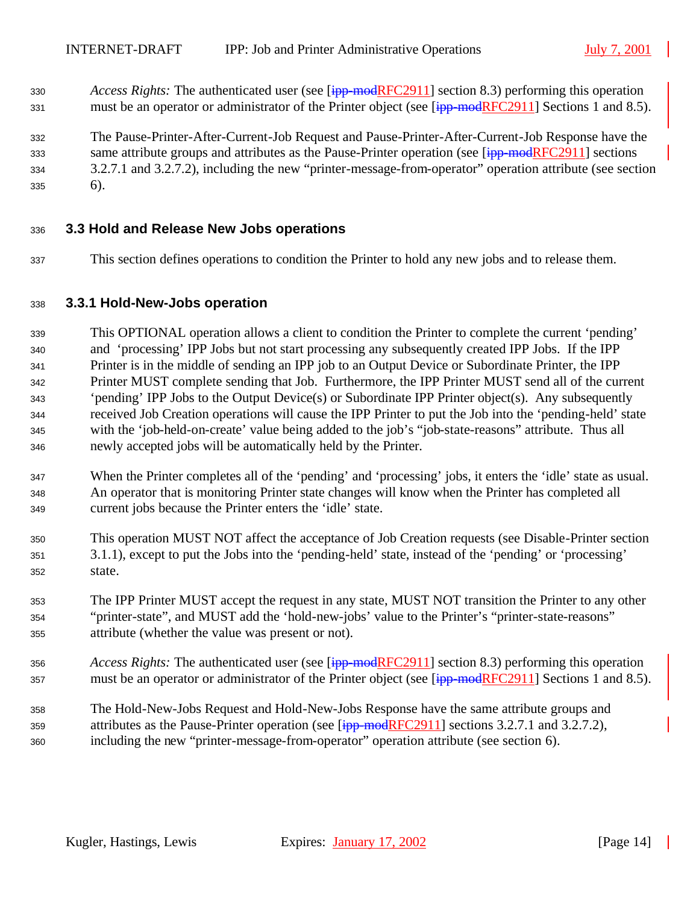*Access Rights:* The authenticated user (see [ipp-modRFC2911] section 8.3) performing this operation 331 must be an operator or administrator of the Printer object (see [ipp-modRFC2911] Sections 1 and 8.5).

 The Pause-Printer-After-Current-Job Request and Pause-Printer-After-Current-Job Response have the 333 same attribute groups and attributes as the Pause-Printer operation (see [ipp-modRFC2911] sections 3.2.7.1 and 3.2.7.2), including the new "printer-message-from-operator" operation attribute (see section 6).

#### **3.3 Hold and Release New Jobs operations**

This section defines operations to condition the Printer to hold any new jobs and to release them.

#### **3.3.1 Hold-New-Jobs operation**

 This OPTIONAL operation allows a client to condition the Printer to complete the current 'pending' and 'processing' IPP Jobs but not start processing any subsequently created IPP Jobs. If the IPP Printer is in the middle of sending an IPP job to an Output Device or Subordinate Printer, the IPP Printer MUST complete sending that Job. Furthermore, the IPP Printer MUST send all of the current 'pending' IPP Jobs to the Output Device(s) or Subordinate IPP Printer object(s). Any subsequently received Job Creation operations will cause the IPP Printer to put the Job into the 'pending-held' state with the 'job-held-on-create' value being added to the job's "job-state-reasons" attribute. Thus all newly accepted jobs will be automatically held by the Printer.

- When the Printer completes all of the 'pending' and 'processing' jobs, it enters the 'idle' state as usual. An operator that is monitoring Printer state changes will know when the Printer has completed all current jobs because the Printer enters the 'idle' state.
- This operation MUST NOT affect the acceptance of Job Creation requests (see Disable-Printer section 3.1.1), except to put the Jobs into the 'pending-held' state, instead of the 'pending' or 'processing' state.
- The IPP Printer MUST accept the request in any state, MUST NOT transition the Printer to any other "printer-state", and MUST add the 'hold-new-jobs' value to the Printer's "printer-state-reasons" attribute (whether the value was present or not).
- *Access Rights:* The authenticated user (see [ipp-modRFC2911] section 8.3) performing this operation 357 must be an operator or administrator of the Printer object (see [ipp-modRFC2911] Sections 1 and 8.5).
- The Hold-New-Jobs Request and Hold-New-Jobs Response have the same attribute groups and 359 attributes as the Pause-Printer operation (see  $\overline{[ipp\text{-}modRFC2911]}$  sections 3.2.7.1 and 3.2.7.2), including the new "printer-message-from-operator" operation attribute (see section 6).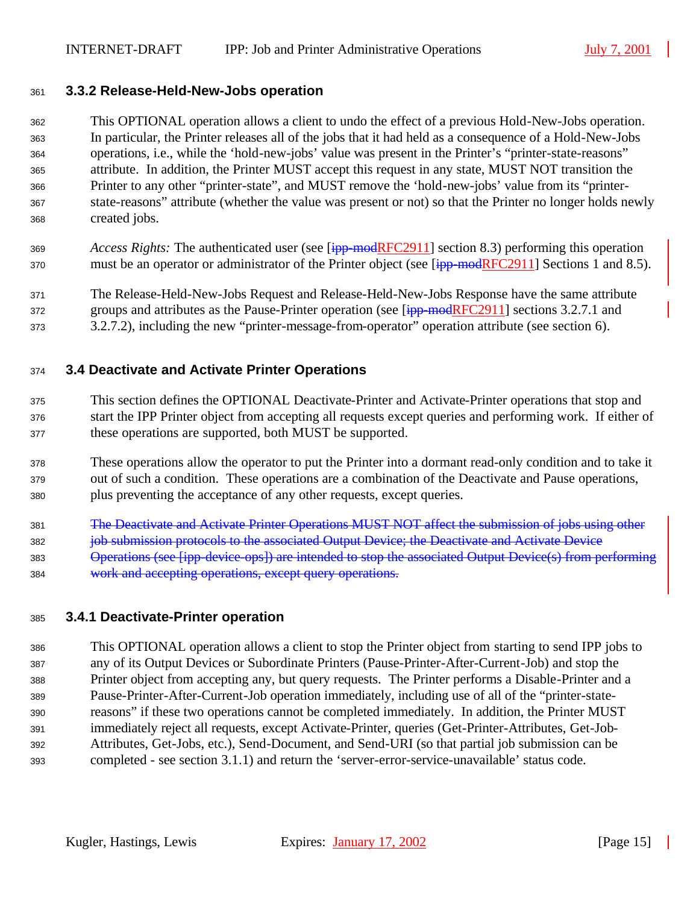#### **3.3.2 Release-Held-New-Jobs operation**

 This OPTIONAL operation allows a client to undo the effect of a previous Hold-New-Jobs operation. In particular, the Printer releases all of the jobs that it had held as a consequence of a Hold-New-Jobs operations, i.e., while the 'hold-new-jobs' value was present in the Printer's "printer-state-reasons" attribute. In addition, the Printer MUST accept this request in any state, MUST NOT transition the Printer to any other "printer-state", and MUST remove the 'hold-new-jobs' value from its "printer- state-reasons" attribute (whether the value was present or not) so that the Printer no longer holds newly created jobs.

- *Access Rights:* The authenticated user (see [ipp-modRFC2911] section 8.3) performing this operation 370 must be an operator or administrator of the Printer object (see [ipp-modRFC2911] Sections 1 and 8.5).
- The Release-Held-New-Jobs Request and Release-Held-New-Jobs Response have the same attribute 372 groups and attributes as the Pause-Printer operation (see [ipp-modRFC2911] sections 3.2.7.1 and
- 3.2.7.2), including the new "printer-message-from-operator" operation attribute (see section 6).

### **3.4 Deactivate and Activate Printer Operations**

- This section defines the OPTIONAL Deactivate-Printer and Activate-Printer operations that stop and start the IPP Printer object from accepting all requests except queries and performing work. If either of these operations are supported, both MUST be supported.
- These operations allow the operator to put the Printer into a dormant read-only condition and to take it out of such a condition. These operations are a combination of the Deactivate and Pause operations, plus preventing the acceptance of any other requests, except queries.
- The Deactivate and Activate Printer Operations MUST NOT affect the submission of jobs using other **job submission protocols to the associated Output Device; the Deactivate and Activate Device**  Operations (see [ipp-device-ops]) are intended to stop the associated Output Device(s) from performing work and accepting operations, except query operations.

#### **3.4.1 Deactivate-Printer operation**

 This OPTIONAL operation allows a client to stop the Printer object from starting to send IPP jobs to any of its Output Devices or Subordinate Printers (Pause-Printer-After-Current-Job) and stop the Printer object from accepting any, but query requests. The Printer performs a Disable-Printer and a Pause-Printer-After-Current-Job operation immediately, including use of all of the "printer-state- reasons" if these two operations cannot be completed immediately. In addition, the Printer MUST immediately reject all requests, except Activate-Printer, queries (Get-Printer-Attributes, Get-Job- Attributes, Get-Jobs, etc.), Send-Document, and Send-URI (so that partial job submission can be completed - see section 3.1.1) and return the 'server-error-service-unavailable' status code.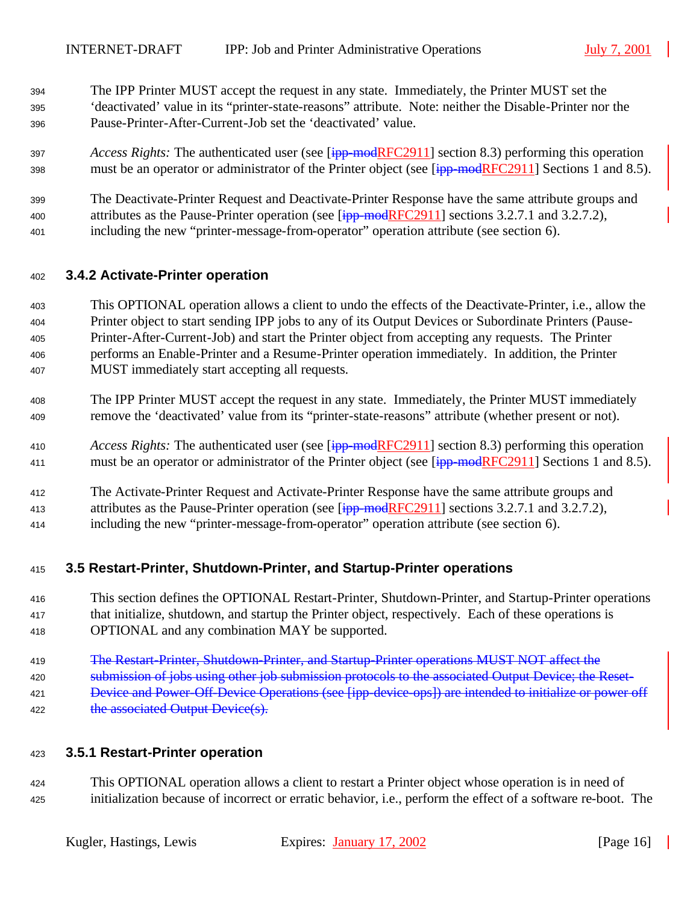- The IPP Printer MUST accept the request in any state. Immediately, the Printer MUST set the 'deactivated' value in its "printer-state-reasons" attribute. Note: neither the Disable-Printer nor the Pause-Printer-After-Current-Job set the 'deactivated' value.
- *Access Rights:* The authenticated user (see [ipp-modRFC2911] section 8.3) performing this operation 398 must be an operator or administrator of the Printer object (see [ipp-modRFC2911] Sections 1 and 8.5).
- The Deactivate-Printer Request and Deactivate-Printer Response have the same attribute groups and 400 attributes as the Pause-Printer operation (see  $\overline{[ipp\text{-}modRFC2911]}$  sections 3.2.7.1 and 3.2.7.2),
- including the new "printer-message-from-operator" operation attribute (see section 6).

#### **3.4.2 Activate-Printer operation**

- This OPTIONAL operation allows a client to undo the effects of the Deactivate-Printer, i.e., allow the Printer object to start sending IPP jobs to any of its Output Devices or Subordinate Printers (Pause- Printer-After-Current-Job) and start the Printer object from accepting any requests. The Printer performs an Enable-Printer and a Resume-Printer operation immediately. In addition, the Printer MUST immediately start accepting all requests.
- The IPP Printer MUST accept the request in any state. Immediately, the Printer MUST immediately remove the 'deactivated' value from its "printer-state-reasons" attribute (whether present or not).
- *Access Rights:* The authenticated user (see [ipp-modRFC2911] section 8.3) performing this operation 411 must be an operator or administrator of the Printer object (see [ipp-modRFC2911] Sections 1 and 8.5).
- The Activate-Printer Request and Activate-Printer Response have the same attribute groups and
- 413 attributes as the Pause-Printer operation (see [ipp-modRFC2911] sections 3.2.7.1 and 3.2.7.2),
- including the new "printer-message-from-operator" operation attribute (see section 6).

#### **3.5 Restart-Printer, Shutdown-Printer, and Startup-Printer operations**

- This section defines the OPTIONAL Restart-Printer, Shutdown-Printer, and Startup-Printer operations that initialize, shutdown, and startup the Printer object, respectively. Each of these operations is OPTIONAL and any combination MAY be supported.
- The Restart-Printer, Shutdown-Printer, and Startup-Printer operations MUST NOT affect the
- 420 submission of jobs using other job submission protocols to the associated Output Device; the Reset-
- Device and Power-Off-Device Operations (see [ipp-device-ops]) are intended to initialize or power off
- 422 the associated Output Device(s).

#### **3.5.1 Restart-Printer operation**

 This OPTIONAL operation allows a client to restart a Printer object whose operation is in need of initialization because of incorrect or erratic behavior, i.e., perform the effect of a software re-boot. The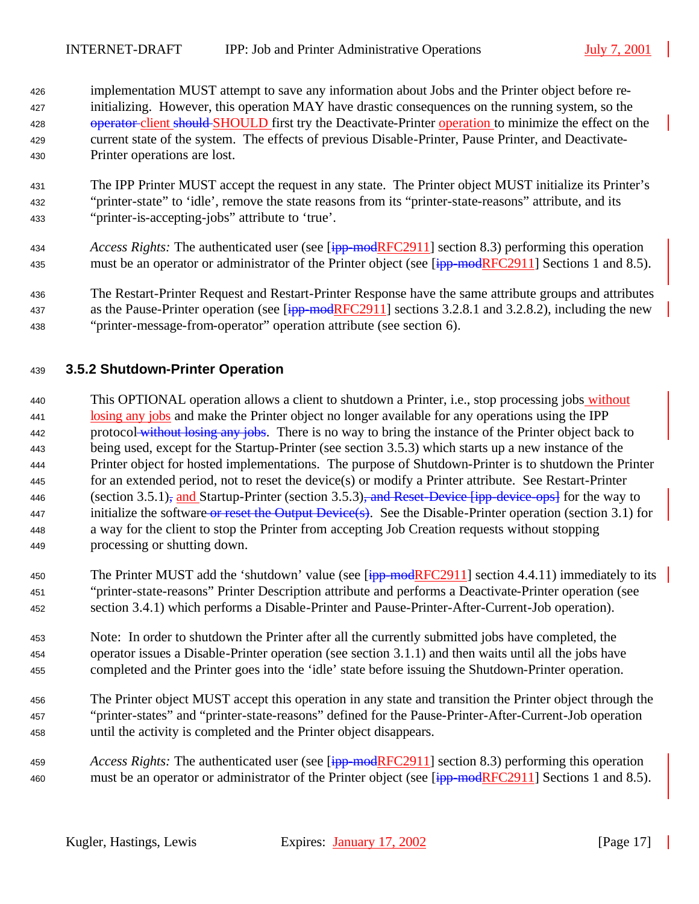implementation MUST attempt to save any information about Jobs and the Printer object before re- initializing. However, this operation MAY have drastic consequences on the running system, so the 428 operator client should SHOULD first try the Deactivate-Printer operation to minimize the effect on the current state of the system. The effects of previous Disable-Printer, Pause Printer, and Deactivate-Printer operations are lost.

- The IPP Printer MUST accept the request in any state. The Printer object MUST initialize its Printer's "printer-state" to 'idle', remove the state reasons from its "printer-state-reasons" attribute, and its "printer-is-accepting-jobs" attribute to 'true'.
- *Access Rights:* The authenticated user (see [ipp-modRFC2911] section 8.3) performing this operation 435 must be an operator or administrator of the Printer object (see [ipp-modRFC2911] Sections 1 and 8.5).
- The Restart-Printer Request and Restart-Printer Response have the same attribute groups and attributes 437 as the Pause-Printer operation (see  $\overline{[ipp\text{-}modRFC2911]}$  sections 3.2.8.1 and 3.2.8.2), including the new "printer-message-from-operator" operation attribute (see section 6).

## **3.5.2 Shutdown-Printer Operation**

- This OPTIONAL operation allows a client to shutdown a Printer, i.e., stop processing jobs without losing any jobs and make the Printer object no longer available for any operations using the IPP 442 protocol without losing any jobs. There is no way to bring the instance of the Printer object back to being used, except for the Startup-Printer (see section 3.5.3) which starts up a new instance of the Printer object for hosted implementations. The purpose of Shutdown-Printer is to shutdown the Printer for an extended period, not to reset the device(s) or modify a Printer attribute. See Restart-Printer 446 (section 3.5.1), and Startup-Printer (section 3.5.3), and Reset-Device  $\overline{f}$  fipp-device-ops. for the way to 447 initialize the software or reset the Output Device(s). See the Disable-Printer operation (section 3.1) for a way for the client to stop the Printer from accepting Job Creation requests without stopping processing or shutting down.
- 450 The Printer MUST add the 'shutdown' value (see  $\overline{[\text{ipp-modelRFC2911}]}$  section 4.4.11) immediately to its "printer-state-reasons" Printer Description attribute and performs a Deactivate-Printer operation (see section 3.4.1) which performs a Disable-Printer and Pause-Printer-After-Current-Job operation).
- Note: In order to shutdown the Printer after all the currently submitted jobs have completed, the operator issues a Disable-Printer operation (see section 3.1.1) and then waits until all the jobs have completed and the Printer goes into the 'idle' state before issuing the Shutdown-Printer operation.
- The Printer object MUST accept this operation in any state and transition the Printer object through the "printer-states" and "printer-state-reasons" defined for the Pause-Printer-After-Current-Job operation until the activity is completed and the Printer object disappears.
- *Access Rights:* The authenticated user (see [ipp-modRFC2911] section 8.3) performing this operation 460 must be an operator or administrator of the Printer object (see [ipp-modRFC2911] Sections 1 and 8.5).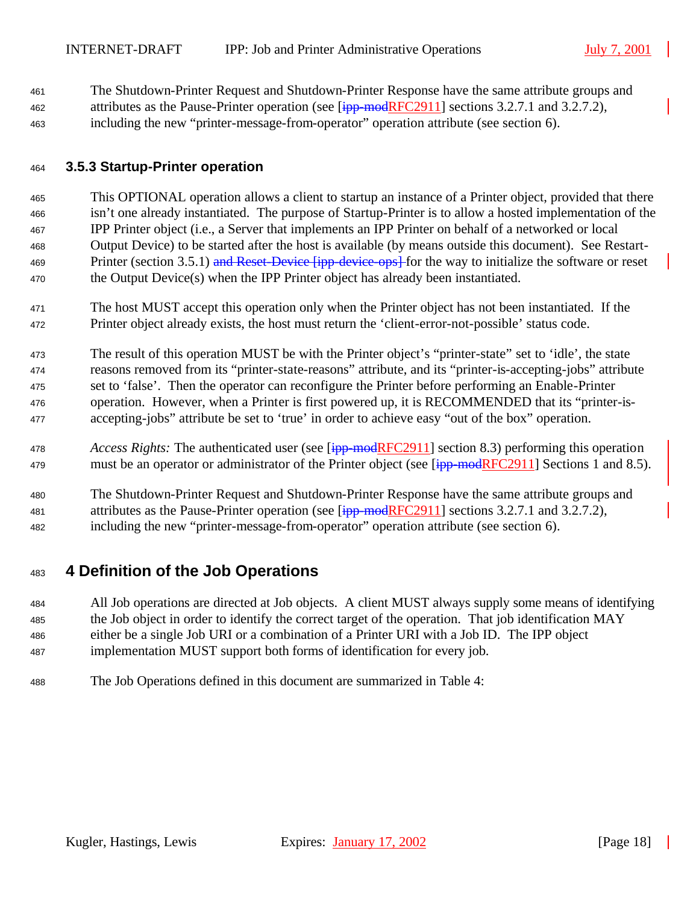The Shutdown-Printer Request and Shutdown-Printer Response have the same attribute groups and 462 attributes as the Pause-Printer operation (see [ipp-modRFC2911] sections 3.2.7.1 and 3.2.7.2), including the new "printer-message-from-operator" operation attribute (see section 6).

### **3.5.3 Startup-Printer operation**

 This OPTIONAL operation allows a client to startup an instance of a Printer object, provided that there isn't one already instantiated. The purpose of Startup-Printer is to allow a hosted implementation of the IPP Printer object (i.e., a Server that implements an IPP Printer on behalf of a networked or local Output Device) to be started after the host is available (by means outside this document). See Restart-469 Printer (section 3.5.1) and Reset-Device [ipp-device-ops] for the way to initialize the software or reset the Output Device(s) when the IPP Printer object has already been instantiated.

 The host MUST accept this operation only when the Printer object has not been instantiated. If the Printer object already exists, the host must return the 'client-error-not-possible' status code.

 The result of this operation MUST be with the Printer object's "printer-state" set to 'idle', the state reasons removed from its "printer-state-reasons" attribute, and its "printer-is-accepting-jobs" attribute set to 'false'. Then the operator can reconfigure the Printer before performing an Enable-Printer operation. However, when a Printer is first powered up, it is RECOMMENDED that its "printer-is-accepting-jobs" attribute be set to 'true' in order to achieve easy "out of the box" operation.

 *Access Rights:* The authenticated user (see [ipp-modRFC2911] section 8.3) performing this operation 479 must be an operator or administrator of the Printer object (see [ipp-modRFC2911] Sections 1 and 8.5).

 The Shutdown-Printer Request and Shutdown-Printer Response have the same attribute groups and 481 attributes as the Pause-Printer operation (see [ipp-modRFC2911] sections 3.2.7.1 and 3.2.7.2), including the new "printer-message-from-operator" operation attribute (see section 6).

## **4 Definition of the Job Operations**

 All Job operations are directed at Job objects. A client MUST always supply some means of identifying the Job object in order to identify the correct target of the operation. That job identification MAY either be a single Job URI or a combination of a Printer URI with a Job ID. The IPP object implementation MUST support both forms of identification for every job.

The Job Operations defined in this document are summarized in Table 4: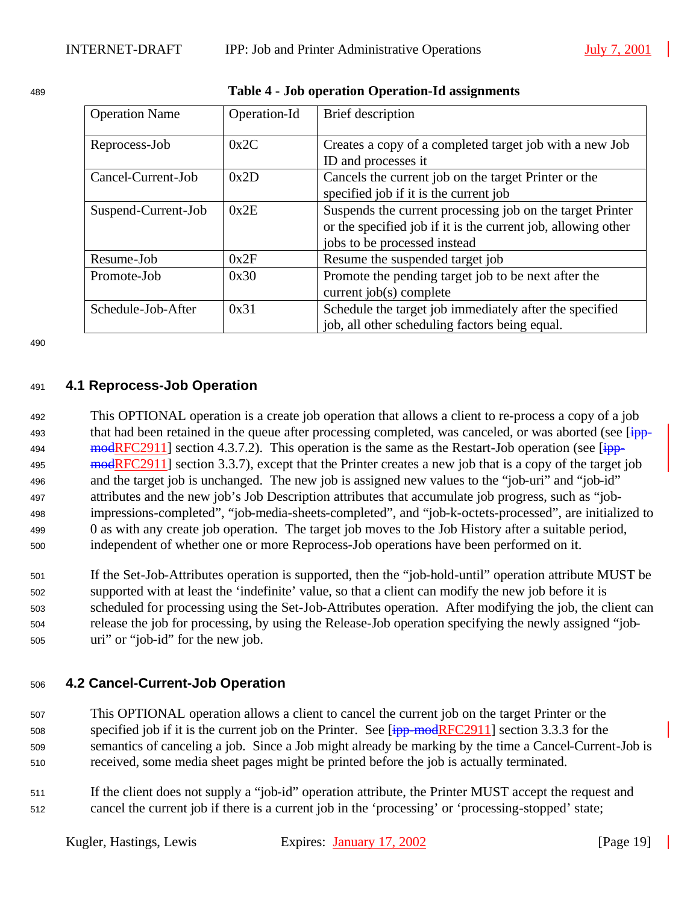| <b>Operation Name</b>       | Operation-Id | Brief description                                                                                                                                          |
|-----------------------------|--------------|------------------------------------------------------------------------------------------------------------------------------------------------------------|
| 0x2C<br>Reprocess-Job       |              | Creates a copy of a completed target job with a new Job<br>ID and processes it                                                                             |
| Cancel-Current-Job          | 0x2D         | Cancels the current job on the target Printer or the<br>specified job if it is the current job                                                             |
| 0x2E<br>Suspend-Current-Job |              | Suspends the current processing job on the target Printer<br>or the specified job if it is the current job, allowing other<br>jobs to be processed instead |
| Resume-Job                  | 0x2F         | Resume the suspended target job                                                                                                                            |
| 0x30<br>Promote-Job         |              | Promote the pending target job to be next after the<br>current job(s) complete                                                                             |
| Schedule-Job-After          | 0x31         | Schedule the target job immediately after the specified<br>job, all other scheduling factors being equal.                                                  |

<sup>489</sup> **Table 4 - Job operation Operation-Id assignments**

490

## <sup>491</sup> **4.1 Reprocess-Job Operation**

 This OPTIONAL operation is a create job operation that allows a client to re-process a copy of a job 493 that had been retained in the queue after processing completed, was canceled, or was aborted (see [ipp-494 modRFC2911] section 4.3.7.2). This operation is the same as the Restart-Job operation (see  $\overline{1}$ 495 modRFC2911] section 3.3.7), except that the Printer creates a new job that is a copy of the target job and the target job is unchanged. The new job is assigned new values to the "job-uri" and "job-id" attributes and the new job's Job Description attributes that accumulate job progress, such as "job- impressions-completed", "job-media-sheets-completed", and "job-k-octets-processed", are initialized to 0 as with any create job operation. The target job moves to the Job History after a suitable period, independent of whether one or more Reprocess-Job operations have been performed on it.

 If the Set-Job-Attributes operation is supported, then the "job-hold-until" operation attribute MUST be supported with at least the 'indefinite' value, so that a client can modify the new job before it is scheduled for processing using the Set-Job-Attributes operation. After modifying the job, the client can release the job for processing, by using the Release-Job operation specifying the newly assigned "job-uri" or "job-id" for the new job.

### <sup>506</sup> **4.2 Cancel-Current-Job Operation**

 This OPTIONAL operation allows a client to cancel the current job on the target Printer or the 508 specified job if it is the current job on the Printer. See [ipp-modRFC2911] section 3.3.3 for the semantics of canceling a job. Since a Job might already be marking by the time a Cancel-Current-Job is received, some media sheet pages might be printed before the job is actually terminated.

<sup>511</sup> If the client does not supply a "job-id" operation attribute, the Printer MUST accept the request and <sup>512</sup> cancel the current job if there is a current job in the 'processing' or 'processing-stopped' state;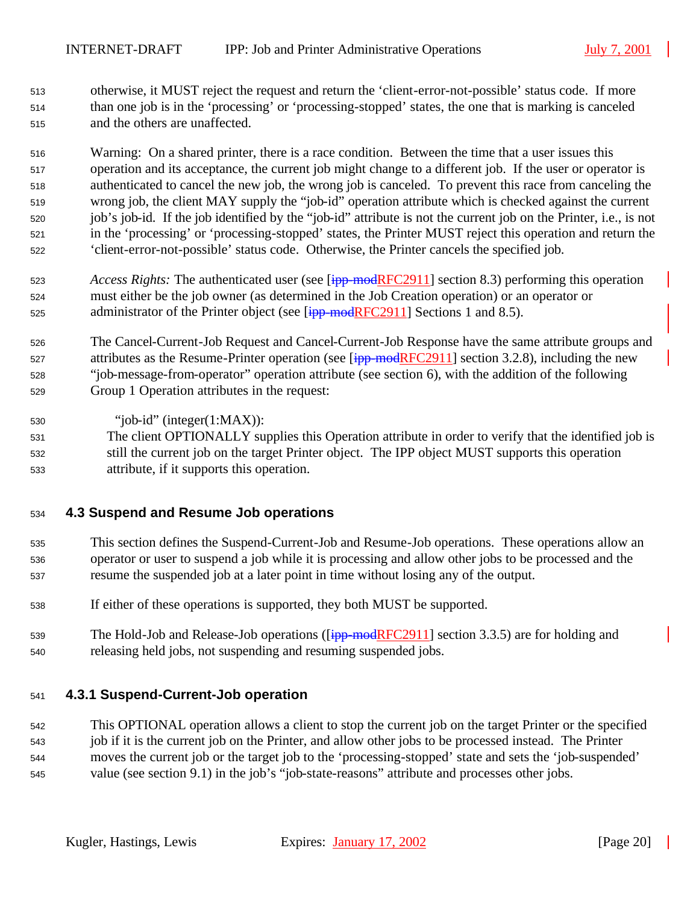otherwise, it MUST reject the request and return the 'client-error-not-possible' status code. If more than one job is in the 'processing' or 'processing-stopped' states, the one that is marking is canceled and the others are unaffected.

 Warning: On a shared printer, there is a race condition. Between the time that a user issues this operation and its acceptance, the current job might change to a different job. If the user or operator is authenticated to cancel the new job, the wrong job is canceled. To prevent this race from canceling the wrong job, the client MAY supply the "job-id" operation attribute which is checked against the current job's job-id. If the job identified by the "job-id" attribute is not the current job on the Printer, i.e., is not in the 'processing' or 'processing-stopped' states, the Printer MUST reject this operation and return the 'client-error-not-possible' status code. Otherwise, the Printer cancels the specified job.

- *Access Rights:* The authenticated user (see [ipp-modRFC2911] section 8.3) performing this operation must either be the job owner (as determined in the Job Creation operation) or an operator or 525 administrator of the Printer object (see  $\frac{1}{1}$  = modRFC2911] Sections 1 and 8.5).
- The Cancel-Current-Job Request and Cancel-Current-Job Response have the same attribute groups and 527 attributes as the Resume-Printer operation (see [ipp-modRFC2911] section 3.2.8), including the new "job-message-from-operator" operation attribute (see section 6), with the addition of the following Group 1 Operation attributes in the request:
- "job-id" (integer(1:MAX)):
- The client OPTIONALLY supplies this Operation attribute in order to verify that the identified job is still the current job on the target Printer object. The IPP object MUST supports this operation attribute, if it supports this operation.

### **4.3 Suspend and Resume Job operations**

- This section defines the Suspend-Current-Job and Resume-Job operations. These operations allow an operator or user to suspend a job while it is processing and allow other jobs to be processed and the resume the suspended job at a later point in time without losing any of the output.
- If either of these operations is supported, they both MUST be supported.
- 539 The Hold-Job and Release-Job operations ([ipp-modRFC2911] section 3.3.5) are for holding and releasing held jobs, not suspending and resuming suspended jobs.

### **4.3.1 Suspend-Current-Job operation**

 This OPTIONAL operation allows a client to stop the current job on the target Printer or the specified job if it is the current job on the Printer, and allow other jobs to be processed instead. The Printer moves the current job or the target job to the 'processing-stopped' state and sets the 'job-suspended' value (see section 9.1) in the job's "job-state-reasons" attribute and processes other jobs.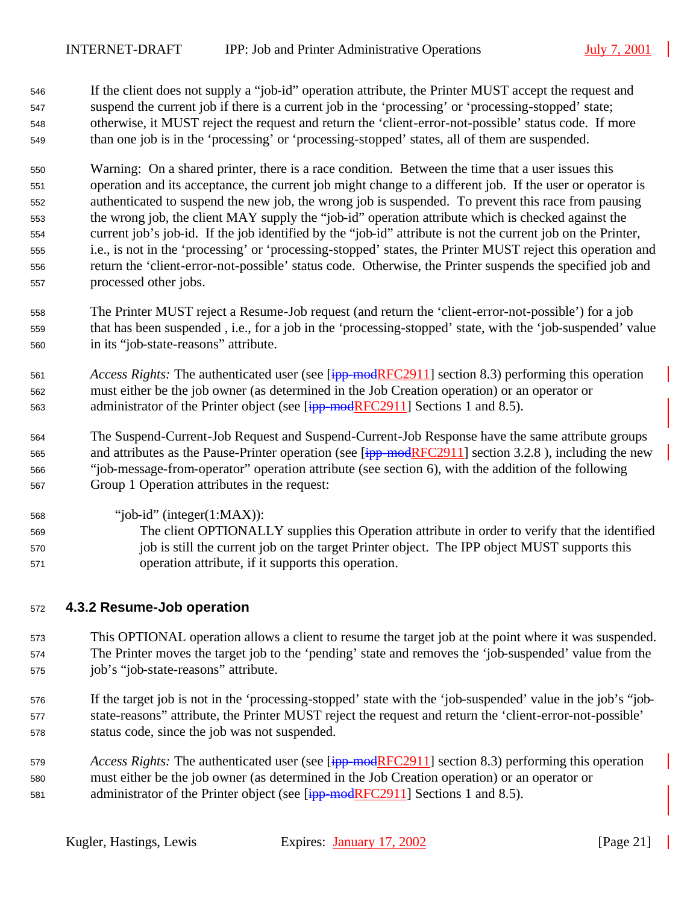If the client does not supply a "job-id" operation attribute, the Printer MUST accept the request and suspend the current job if there is a current job in the 'processing' or 'processing-stopped' state; otherwise, it MUST reject the request and return the 'client-error-not-possible' status code. If more than one job is in the 'processing' or 'processing-stopped' states, all of them are suspended.

 Warning: On a shared printer, there is a race condition. Between the time that a user issues this operation and its acceptance, the current job might change to a different job. If the user or operator is authenticated to suspend the new job, the wrong job is suspended. To prevent this race from pausing the wrong job, the client MAY supply the "job-id" operation attribute which is checked against the current job's job-id. If the job identified by the "job-id" attribute is not the current job on the Printer, i.e., is not in the 'processing' or 'processing-stopped' states, the Printer MUST reject this operation and return the 'client-error-not-possible' status code. Otherwise, the Printer suspends the specified job and processed other jobs.

- The Printer MUST reject a Resume-Job request (and return the 'client-error-not-possible') for a job that has been suspended , i.e., for a job in the 'processing-stopped' state, with the 'job-suspended' value in its "job-state-reasons" attribute.
- *Access Rights:* The authenticated user (see [ipp-modRFC2911] section 8.3) performing this operation must either be the job owner (as determined in the Job Creation operation) or an operator or 563 administrator of the Printer object (see  $\overline{[ipp-modRFC2911]}$  Sections 1 and 8.5).
- The Suspend-Current-Job Request and Suspend-Current-Job Response have the same attribute groups 565 and attributes as the Pause-Printer operation (see [ipp-modRFC2911] section 3.2.8), including the new "job-message-from-operator" operation attribute (see section 6), with the addition of the following Group 1 Operation attributes in the request:
- "job-id" (integer(1:MAX)):
- The client OPTIONALLY supplies this Operation attribute in order to verify that the identified 570 job is still the current job on the target Printer object. The IPP object MUST supports this operation attribute, if it supports this operation.

### **4.3.2 Resume-Job operation**

 This OPTIONAL operation allows a client to resume the target job at the point where it was suspended. The Printer moves the target job to the 'pending' state and removes the 'job-suspended' value from the job's "job-state-reasons" attribute.

- If the target job is not in the 'processing-stopped' state with the 'job-suspended' value in the job's "job- state-reasons" attribute, the Printer MUST reject the request and return the 'client-error-not-possible' status code, since the job was not suspended.
- *Access Rights:* The authenticated user (see [ipp-modRFC2911] section 8.3) performing this operation must either be the job owner (as determined in the Job Creation operation) or an operator or 581 administrator of the Printer object (see [ipp-modRFC2911] Sections 1 and 8.5).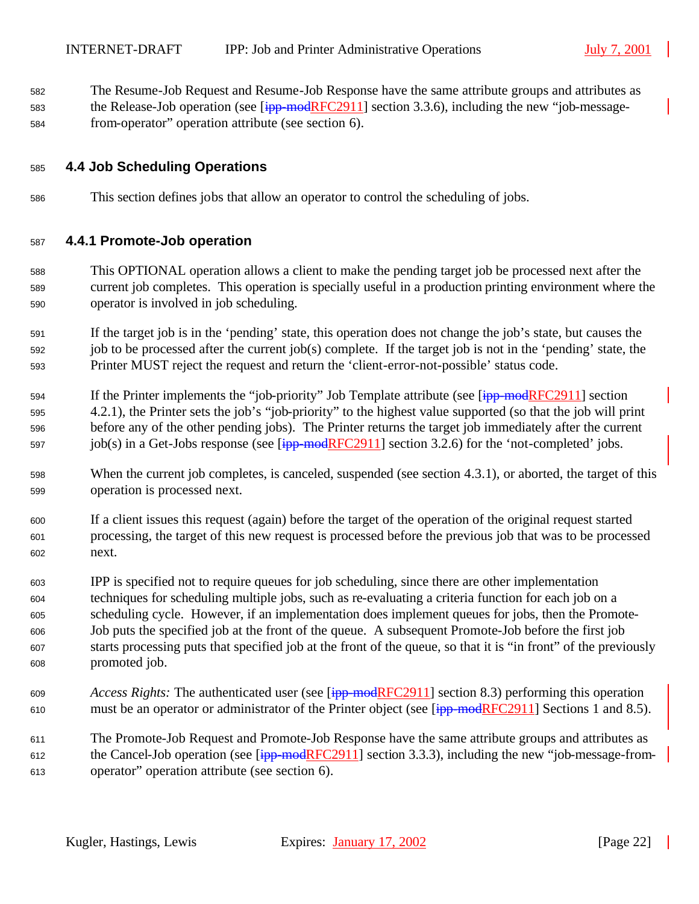The Resume-Job Request and Resume-Job Response have the same attribute groups and attributes as 583 the Release-Job operation (see [ipp-modRFC2911] section 3.3.6), including the new "job-message-from-operator" operation attribute (see section 6).

#### **4.4 Job Scheduling Operations**

This section defines jobs that allow an operator to control the scheduling of jobs.

#### **4.4.1 Promote-Job operation**

 This OPTIONAL operation allows a client to make the pending target job be processed next after the current job completes. This operation is specially useful in a production printing environment where the operator is involved in job scheduling.

 If the target job is in the 'pending' state, this operation does not change the job's state, but causes the job to be processed after the current job(s) complete. If the target job is not in the 'pending' state, the Printer MUST reject the request and return the 'client-error-not-possible' status code.

- 594 If the Printer implements the "job-priority" Job Template attribute (see [ipp-modRFC2911] section 4.2.1), the Printer sets the job's "job-priority" to the highest value supported (so that the job will print before any of the other pending jobs). The Printer returns the target job immediately after the current 597 job(s) in a Get-Jobs response (see  $[ipp$ -modRFC2911] section 3.2.6) for the 'not-completed' jobs.
- When the current job completes, is canceled, suspended (see section 4.3.1), or aborted, the target of this operation is processed next.
- If a client issues this request (again) before the target of the operation of the original request started processing, the target of this new request is processed before the previous job that was to be processed next.
- IPP is specified not to require queues for job scheduling, since there are other implementation techniques for scheduling multiple jobs, such as re-evaluating a criteria function for each job on a scheduling cycle. However, if an implementation does implement queues for jobs, then the Promote- Job puts the specified job at the front of the queue. A subsequent Promote-Job before the first job starts processing puts that specified job at the front of the queue, so that it is "in front" of the previously promoted job.
- *Access Rights:* The authenticated user (see [ipp-modRFC2911] section 8.3) performing this operation 610 must be an operator or administrator of the Printer object (see [ipp-modRFC2911] Sections 1 and 8.5).
- The Promote-Job Request and Promote-Job Response have the same attribute groups and attributes as 612 the Cancel-Job operation (see  $\frac{1}{1}$  = modRFC2911] section 3.3.3), including the new "job-message-from-operator" operation attribute (see section 6).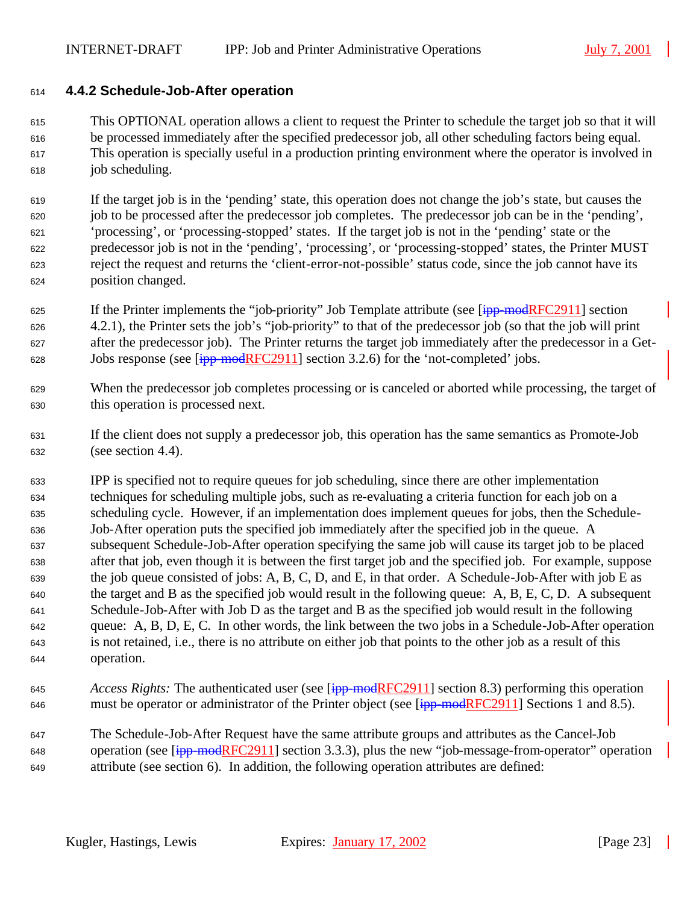#### **4.4.2 Schedule-Job-After operation**

 This OPTIONAL operation allows a client to request the Printer to schedule the target job so that it will be processed immediately after the specified predecessor job, all other scheduling factors being equal. This operation is specially useful in a production printing environment where the operator is involved in job scheduling.

 If the target job is in the 'pending' state, this operation does not change the job's state, but causes the job to be processed after the predecessor job completes. The predecessor job can be in the 'pending', 'processing', or 'processing-stopped' states. If the target job is not in the 'pending' state or the predecessor job is not in the 'pending', 'processing', or 'processing-stopped' states, the Printer MUST reject the request and returns the 'client-error-not-possible' status code, since the job cannot have its position changed.

- 625 If the Printer implements the "job-priority" Job Template attribute (see [ipp-modRFC2911] section 4.2.1), the Printer sets the job's "job-priority" to that of the predecessor job (so that the job will print after the predecessor job). The Printer returns the target job immediately after the predecessor in a Get-Jobs response (see [ipp-modRFC2911] section 3.2.6) for the 'not-completed' jobs.
- When the predecessor job completes processing or is canceled or aborted while processing, the target of this operation is processed next.
- If the client does not supply a predecessor job, this operation has the same semantics as Promote-Job (see section 4.4).
- IPP is specified not to require queues for job scheduling, since there are other implementation techniques for scheduling multiple jobs, such as re-evaluating a criteria function for each job on a scheduling cycle. However, if an implementation does implement queues for jobs, then the Schedule- Job-After operation puts the specified job immediately after the specified job in the queue. A subsequent Schedule-Job-After operation specifying the same job will cause its target job to be placed after that job, even though it is between the first target job and the specified job. For example, suppose the job queue consisted of jobs: A, B, C, D, and E, in that order. A Schedule-Job-After with job E as the target and B as the specified job would result in the following queue: A, B, E, C, D. A subsequent Schedule-Job-After with Job D as the target and B as the specified job would result in the following queue: A, B, D, E, C. In other words, the link between the two jobs in a Schedule-Job-After operation is not retained, i.e., there is no attribute on either job that points to the other job as a result of this operation.
- *Access Rights:* The authenticated user (see [ipp-modRFC2911] section 8.3) performing this operation 646 must be operator or administrator of the Printer object (see [ipp-modRFC2911] Sections 1 and 8.5).
- The Schedule-Job-After Request have the same attribute groups and attributes as the Cancel-Job 648 operation (see  $\overline{[ipp\text{-}modRFC2911]}$  section 3.3.3), plus the new "job-message-from-operator" operation attribute (see section 6). In addition, the following operation attributes are defined: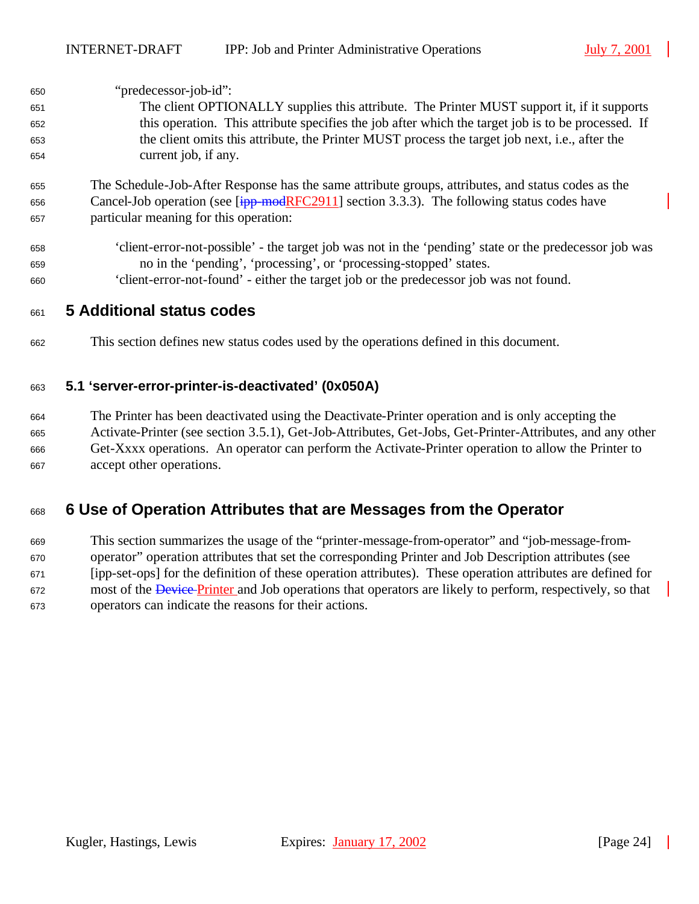| 650 | "predecessor-job-id":                                                                                     |
|-----|-----------------------------------------------------------------------------------------------------------|
| 651 | The client OPTIONALLY supplies this attribute. The Printer MUST support it, if it supports                |
| 652 | this operation. This attribute specifies the job after which the target job is to be processed. If        |
| 653 | the client omits this attribute, the Printer MUST process the target job next, i.e., after the            |
| 654 | current job, if any.                                                                                      |
| 655 | The Schedule-Job-After Response has the same attribute groups, attributes, and status codes as the        |
| 656 | Cancel-Job operation (see $\overline{[ipp \mod{RFC2911}}$ section 3.3.3). The following status codes have |
| 657 | particular meaning for this operation:                                                                    |
| 658 | 'client-error-not-possible' - the target job was not in the 'pending' state or the predecessor job was    |
| 659 | no in the 'pending', 'processing', or 'processing-stopped' states.                                        |
| 660 | 'client-error-not-found' - either the target job or the predecessor job was not found.                    |
|     | Additional ototus sodes                                                                                   |

## **5 Additional status codes**

This section defines new status codes used by the operations defined in this document.

#### **5.1 'server-error-printer-is-deactivated' (0x050A)**

 The Printer has been deactivated using the Deactivate-Printer operation and is only accepting the Activate-Printer (see section 3.5.1), Get-Job-Attributes, Get-Jobs, Get-Printer-Attributes, and any other Get-Xxxx operations. An operator can perform the Activate-Printer operation to allow the Printer to accept other operations.

## **6 Use of Operation Attributes that are Messages from the Operator**

 This section summarizes the usage of the "printer-message-from-operator" and "job-message-from- operator" operation attributes that set the corresponding Printer and Job Description attributes (see [ipp-set-ops] for the definition of these operation attributes). These operation attributes are defined for 672 most of the *Device Printer* and Job operations that operators are likely to perform, respectively, so that operators can indicate the reasons for their actions.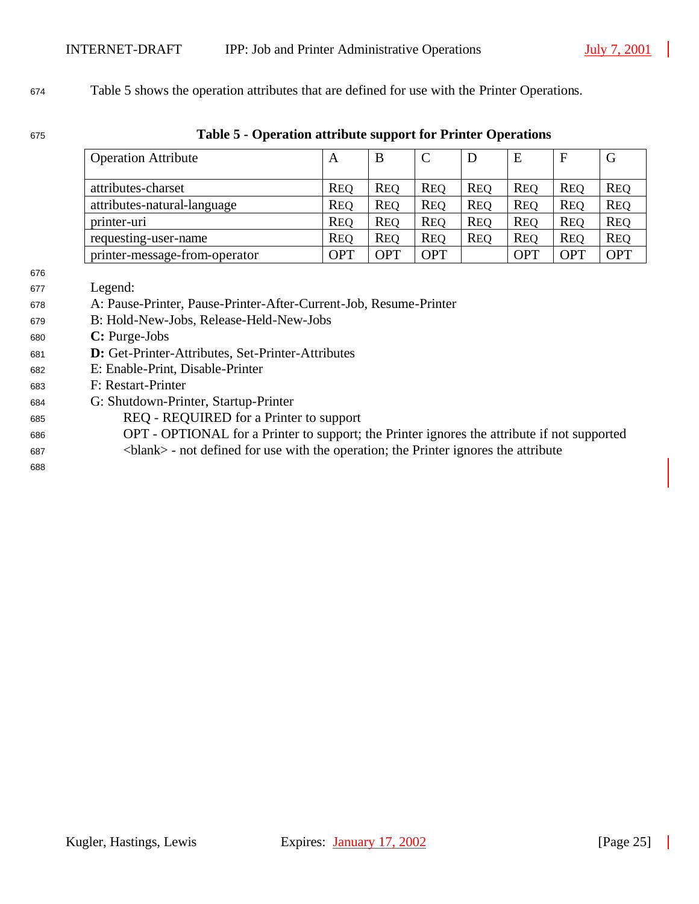#### Table 5 shows the operation attributes that are defined for use with the Printer Operations.

#### **Table 5 - Operation attribute support for Printer Operations**

| <b>Operation Attribute</b>    | A          | B          |            | D          | E          | $\mathbf{F}$ | G          |
|-------------------------------|------------|------------|------------|------------|------------|--------------|------------|
| attributes-charset            | <b>REQ</b> | <b>REO</b> | <b>REO</b> | <b>REO</b> | <b>REQ</b> | <b>REO</b>   | <b>REQ</b> |
| attributes-natural-language   | <b>REQ</b> | <b>REQ</b> | <b>REQ</b> | <b>REQ</b> | <b>REO</b> | <b>REO</b>   | <b>REQ</b> |
| printer-uri                   | <b>REQ</b> | <b>REO</b> | <b>REO</b> | <b>REO</b> | <b>REQ</b> | <b>REO</b>   | <b>REQ</b> |
| requesting-user-name          | <b>REQ</b> | <b>REO</b> | <b>REQ</b> | <b>REO</b> | <b>REO</b> | <b>REO</b>   | <b>REQ</b> |
| printer-message-from-operator | <b>OPT</b> | <b>OPT</b> | OPT        |            | <b>OPT</b> | OPT          | <b>OPT</b> |

- Legend:
- A: Pause-Printer, Pause-Printer-After-Current-Job, Resume-Printer
- B: Hold-New-Jobs, Release-Held-New-Jobs
- **C:** Purge-Jobs
- **D:** Get-Printer-Attributes, Set-Printer-Attributes
- E: Enable-Print, Disable-Printer
- F: Restart-Printer
- G: Shutdown-Printer, Startup-Printer
- REQ REQUIRED for a Printer to support
- OPT OPTIONAL for a Printer to support; the Printer ignores the attribute if not supported <blank> - not defined for use with the operation; the Printer ignores the attribute
-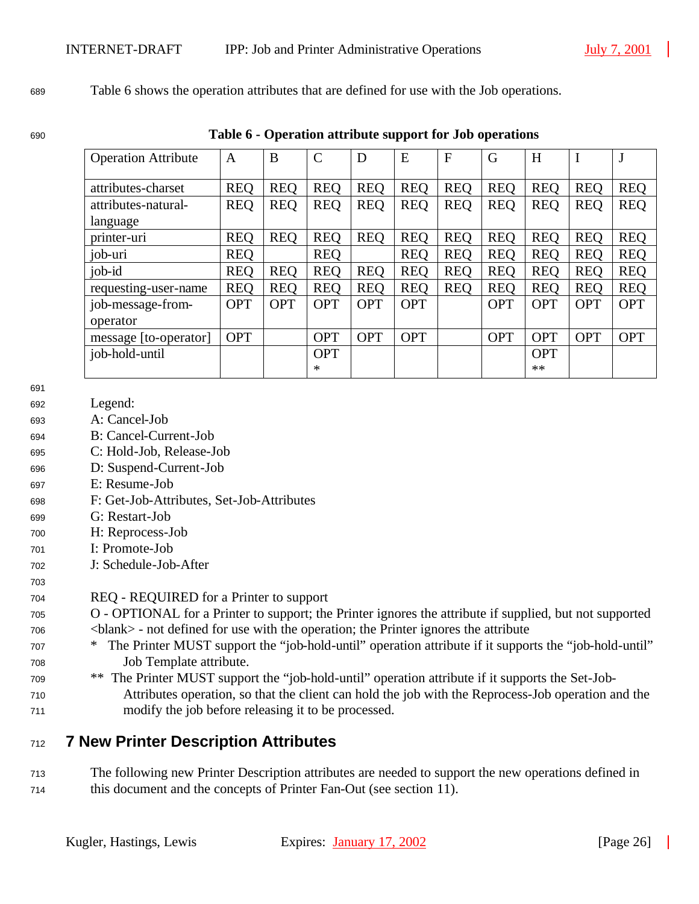#### <sup>689</sup> Table 6 shows the operation attributes that are defined for use with the Job operations.

<sup>690</sup> **Table 6 - Operation attribute support for Job operations**

| <b>Operation Attribute</b> | A          | B          | $\mathcal{C}$ | D          | E          | $\mathbf{F}$ | G          | H          | $\bf{I}$   |            |
|----------------------------|------------|------------|---------------|------------|------------|--------------|------------|------------|------------|------------|
|                            |            |            |               |            |            |              |            |            |            |            |
| attributes-charset         | <b>REQ</b> | <b>REQ</b> | <b>REQ</b>    | <b>REQ</b> | <b>REQ</b> | <b>REQ</b>   | <b>REO</b> | <b>REO</b> | <b>REQ</b> | <b>REQ</b> |
| attributes-natural-        | <b>REQ</b> | <b>REQ</b> | <b>REQ</b>    | <b>REQ</b> | <b>REQ</b> | <b>REQ</b>   | <b>REQ</b> | <b>REQ</b> | <b>REQ</b> | <b>REQ</b> |
| language                   |            |            |               |            |            |              |            |            |            |            |
| printer-uri                | <b>REQ</b> | <b>REQ</b> | <b>REQ</b>    | <b>REQ</b> | <b>REQ</b> | <b>REQ</b>   | <b>REO</b> | <b>REQ</b> | <b>REQ</b> | <b>REQ</b> |
| job-uri                    | <b>REO</b> |            | <b>REQ</b>    |            | <b>REO</b> | <b>REO</b>   | <b>REQ</b> | <b>REQ</b> | <b>REQ</b> | <b>REO</b> |
| job-id                     | <b>REQ</b> | <b>REO</b> | <b>REQ</b>    | <b>REQ</b> | <b>REQ</b> | <b>REQ</b>   | <b>REO</b> | <b>REO</b> | <b>REQ</b> | <b>REQ</b> |
| requesting-user-name       | <b>REQ</b> | <b>REQ</b> | <b>REQ</b>    | <b>REQ</b> | <b>REQ</b> | <b>REO</b>   | <b>REQ</b> | <b>REQ</b> | <b>REQ</b> | <b>REQ</b> |
| job-message-from-          | <b>OPT</b> | <b>OPT</b> | <b>OPT</b>    | <b>OPT</b> | <b>OPT</b> |              | <b>OPT</b> | <b>OPT</b> | <b>OPT</b> | <b>OPT</b> |
| operator                   |            |            |               |            |            |              |            |            |            |            |
| message [to-operator]      | <b>OPT</b> |            | <b>OPT</b>    | <b>OPT</b> | <b>OPT</b> |              | <b>OPT</b> | <b>OPT</b> | <b>OPT</b> | <b>OPT</b> |
| job-hold-until             |            |            | <b>OPT</b>    |            |            |              |            | <b>OPT</b> |            |            |
|                            |            |            | ∗             |            |            |              |            | **         |            |            |

691

703

- <sup>692</sup> Legend:
- <sup>693</sup> A: Cancel-Job
- <sup>694</sup> B: Cancel-Current-Job
- <sup>695</sup> C: Hold-Job, Release-Job
- <sup>696</sup> D: Suspend-Current-Job
- <sup>697</sup> E: Resume-Job
- <sup>698</sup> F: Get-Job-Attributes, Set-Job-Attributes
- <sup>699</sup> G: Restart-Job
- <sup>700</sup> H: Reprocess-Job
- <sup>701</sup> I: Promote-Job
- <sup>702</sup> J: Schedule-Job-After

#### <sup>704</sup> REQ - REQUIRED for a Printer to support

- <sup>705</sup> O OPTIONAL for a Printer to support; the Printer ignores the attribute if supplied, but not supported <sup>706</sup> <blank> - not defined for use with the operation; the Printer ignores the attribute
- <sup>707</sup> \* The Printer MUST support the "job-hold-until" operation attribute if it supports the "job-hold-until" <sup>708</sup> Job Template attribute.
- <sup>709</sup> \*\* The Printer MUST support the "job-hold-until" operation attribute if it supports the Set-Job-<sup>710</sup> Attributes operation, so that the client can hold the job with the Reprocess-Job operation and the <sup>711</sup> modify the job before releasing it to be processed.

## <sup>712</sup> **7 New Printer Description Attributes**

<sup>713</sup> The following new Printer Description attributes are needed to support the new operations defined in <sup>714</sup> this document and the concepts of Printer Fan-Out (see section 11).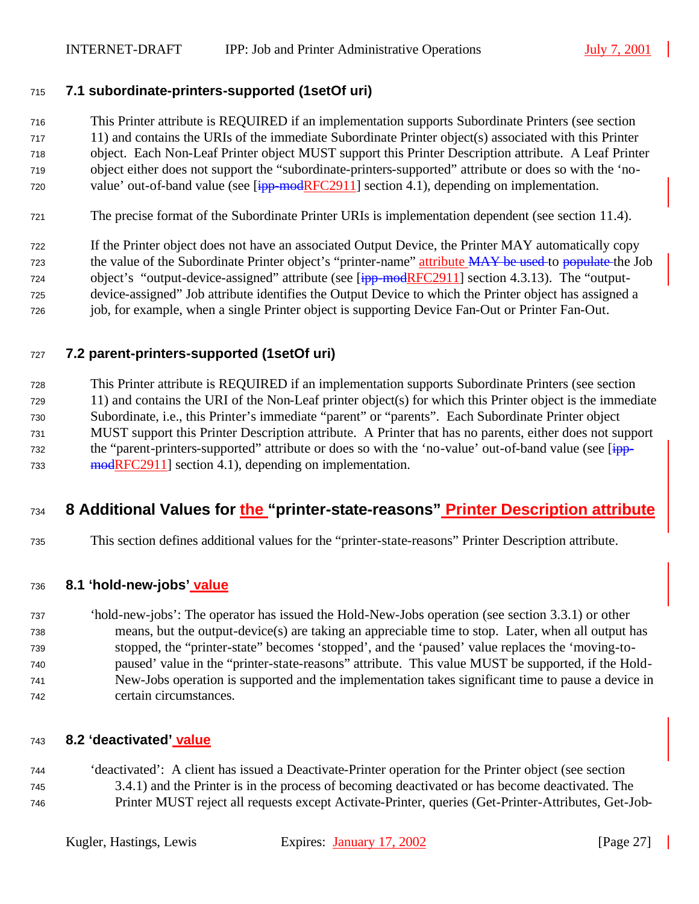## **7.1 subordinate-printers-supported (1setOf uri)**

This Printer attribute is REQUIRED if an implementation supports Subordinate Printers (see section

- 11) and contains the URIs of the immediate Subordinate Printer object(s) associated with this Printer
- object. Each Non-Leaf Printer object MUST support this Printer Description attribute. A Leaf Printer object either does not support the "subordinate-printers-supported" attribute or does so with the 'no-
- value' out-of-band value (see  $[ipp\text{-}modRFC2911]$  section 4.1), depending on implementation.
- The precise format of the Subordinate Printer URIs is implementation dependent (see section 11.4).

 If the Printer object does not have an associated Output Device, the Printer MAY automatically copy 723 the value of the Subordinate Printer object's "printer-name" attribute MAY be used to populate the Job 724 object's "output-device-assigned" attribute (see [ipp-modRFC2911] section 4.3.13). The "output- device-assigned" Job attribute identifies the Output Device to which the Printer object has assigned a job, for example, when a single Printer object is supporting Device Fan-Out or Printer Fan-Out.

## **7.2 parent-printers-supported (1setOf uri)**

 This Printer attribute is REQUIRED if an implementation supports Subordinate Printers (see section 11) and contains the URI of the Non-Leaf printer object(s) for which this Printer object is the immediate Subordinate, i.e., this Printer's immediate "parent" or "parents". Each Subordinate Printer object MUST support this Printer Description attribute. A Printer that has no parents, either does not support 732 the "parent-printers-supported" attribute or does so with the 'no-value' out-of-band value (see [ipp-733 modRFC2911] section 4.1), depending on implementation.

## **8 Additional Values for the "printer-state-reasons" Printer Description attribute**

This section defines additional values for the "printer-state-reasons" Printer Description attribute.

### **8.1 'hold-new-jobs' value**

 'hold-new-jobs': The operator has issued the Hold-New-Jobs operation (see section 3.3.1) or other means, but the output-device(s) are taking an appreciable time to stop. Later, when all output has stopped, the "printer-state" becomes 'stopped', and the 'paused' value replaces the 'moving-to- paused' value in the "printer-state-reasons" attribute. This value MUST be supported, if the Hold- New-Jobs operation is supported and the implementation takes significant time to pause a device in certain circumstances.

### **8.2 'deactivated' value**

 'deactivated': A client has issued a Deactivate-Printer operation for the Printer object (see section 3.4.1) and the Printer is in the process of becoming deactivated or has become deactivated. The Printer MUST reject all requests except Activate-Printer, queries (Get-Printer-Attributes, Get-Job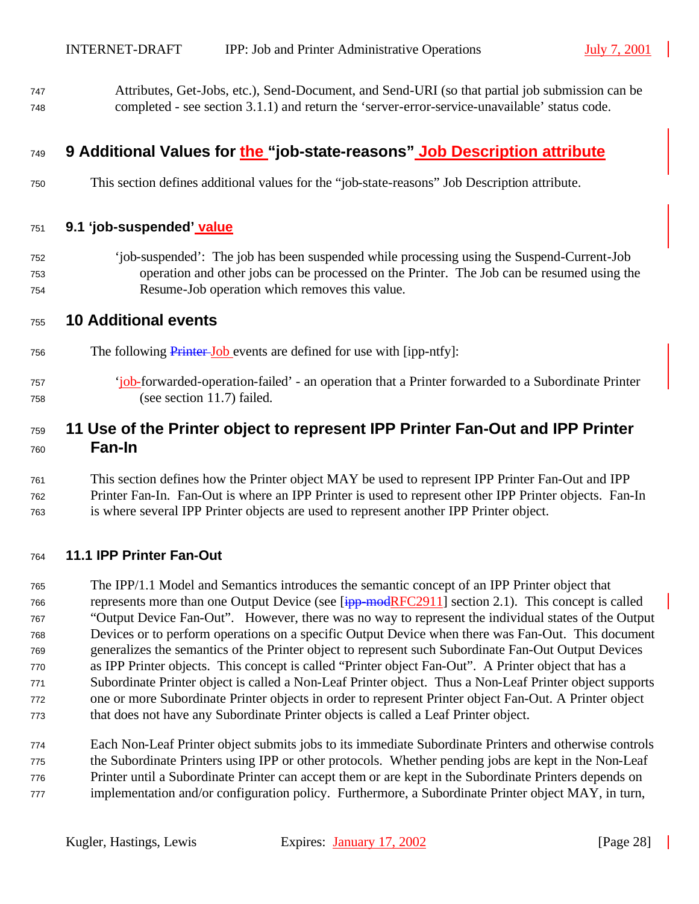Attributes, Get-Jobs, etc.), Send-Document, and Send-URI (so that partial job submission can be completed - see section 3.1.1) and return the 'server-error-service-unavailable' status code.

## **9 Additional Values for the "job-state-reasons" Job Description attribute**

This section defines additional values for the "job-state-reasons" Job Description attribute.

#### **9.1 'job-suspended' value**

 'job-suspended': The job has been suspended while processing using the Suspend-Current-Job operation and other jobs can be processed on the Printer. The Job can be resumed using the Resume-Job operation which removes this value.

#### **10 Additional events**

- 756 The following **Printer-Job** events are defined for use with [ipp-ntfy]:
- 'job-forwarded-operation-failed' an operation that a Printer forwarded to a Subordinate Printer (see section 11.7) failed.

## **11 Use of the Printer object to represent IPP Printer Fan-Out and IPP Printer Fan-In**

 This section defines how the Printer object MAY be used to represent IPP Printer Fan-Out and IPP Printer Fan-In. Fan-Out is where an IPP Printer is used to represent other IPP Printer objects. Fan-In is where several IPP Printer objects are used to represent another IPP Printer object.

#### **11.1 IPP Printer Fan-Out**

 The IPP/1.1 Model and Semantics introduces the semantic concept of an IPP Printer object that 766 represents more than one Output Device (see  $[ipp\text{-}modRFC2911]$  section 2.1). This concept is called "Output Device Fan-Out". However, there was no way to represent the individual states of the Output Devices or to perform operations on a specific Output Device when there was Fan-Out. This document generalizes the semantics of the Printer object to represent such Subordinate Fan-Out Output Devices as IPP Printer objects. This concept is called "Printer object Fan-Out". A Printer object that has a Subordinate Printer object is called a Non-Leaf Printer object. Thus a Non-Leaf Printer object supports one or more Subordinate Printer objects in order to represent Printer object Fan-Out. A Printer object that does not have any Subordinate Printer objects is called a Leaf Printer object.

 Each Non-Leaf Printer object submits jobs to its immediate Subordinate Printers and otherwise controls the Subordinate Printers using IPP or other protocols. Whether pending jobs are kept in the Non-Leaf Printer until a Subordinate Printer can accept them or are kept in the Subordinate Printers depends on implementation and/or configuration policy. Furthermore, a Subordinate Printer object MAY, in turn,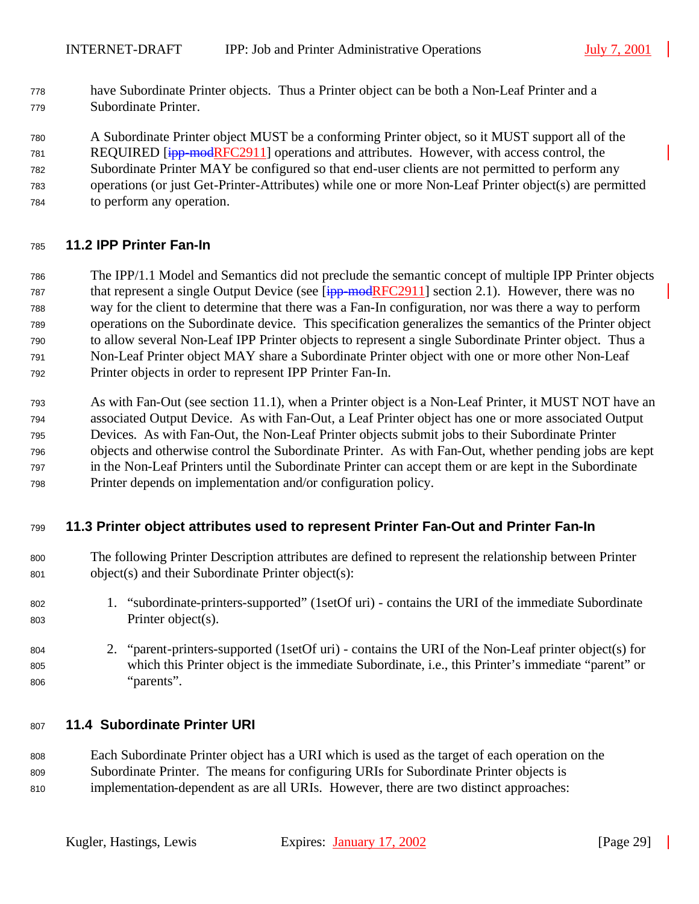have Subordinate Printer objects. Thus a Printer object can be both a Non-Leaf Printer and a Subordinate Printer.

A Subordinate Printer object MUST be a conforming Printer object, so it MUST support all of the

781 REQUIRED [ipp-modRFC2911] operations and attributes. However, with access control, the

- Subordinate Printer MAY be configured so that end-user clients are not permitted to perform any operations (or just Get-Printer-Attributes) while one or more Non-Leaf Printer object(s) are permitted
- to perform any operation.

## **11.2 IPP Printer Fan-In**

- The IPP/1.1 Model and Semantics did not preclude the semantic concept of multiple IPP Printer objects 787 that represent a single Output Device (see [ipp-modRFC2911] section 2.1). However, there was no way for the client to determine that there was a Fan-In configuration, nor was there a way to perform operations on the Subordinate device. This specification generalizes the semantics of the Printer object to allow several Non-Leaf IPP Printer objects to represent a single Subordinate Printer object. Thus a Non-Leaf Printer object MAY share a Subordinate Printer object with one or more other Non-Leaf Printer objects in order to represent IPP Printer Fan-In.
- As with Fan-Out (see section 11.1), when a Printer object is a Non-Leaf Printer, it MUST NOT have an associated Output Device. As with Fan-Out, a Leaf Printer object has one or more associated Output Devices. As with Fan-Out, the Non-Leaf Printer objects submit jobs to their Subordinate Printer objects and otherwise control the Subordinate Printer. As with Fan-Out, whether pending jobs are kept in the Non-Leaf Printers until the Subordinate Printer can accept them or are kept in the Subordinate Printer depends on implementation and/or configuration policy.

### **11.3 Printer object attributes used to represent Printer Fan-Out and Printer Fan-In**

- The following Printer Description attributes are defined to represent the relationship between Printer object(s) and their Subordinate Printer object(s):
- 1. "subordinate-printers-supported" (1setOf uri) contains the URI of the immediate Subordinate Printer object(s).
- 2. "parent-printers-supported (1setOf uri) contains the URI of the Non-Leaf printer object(s) for which this Printer object is the immediate Subordinate, i.e., this Printer's immediate "parent" or "parents".

### **11.4 Subordinate Printer URI**

 Each Subordinate Printer object has a URI which is used as the target of each operation on the Subordinate Printer. The means for configuring URIs for Subordinate Printer objects is implementation-dependent as are all URIs. However, there are two distinct approaches: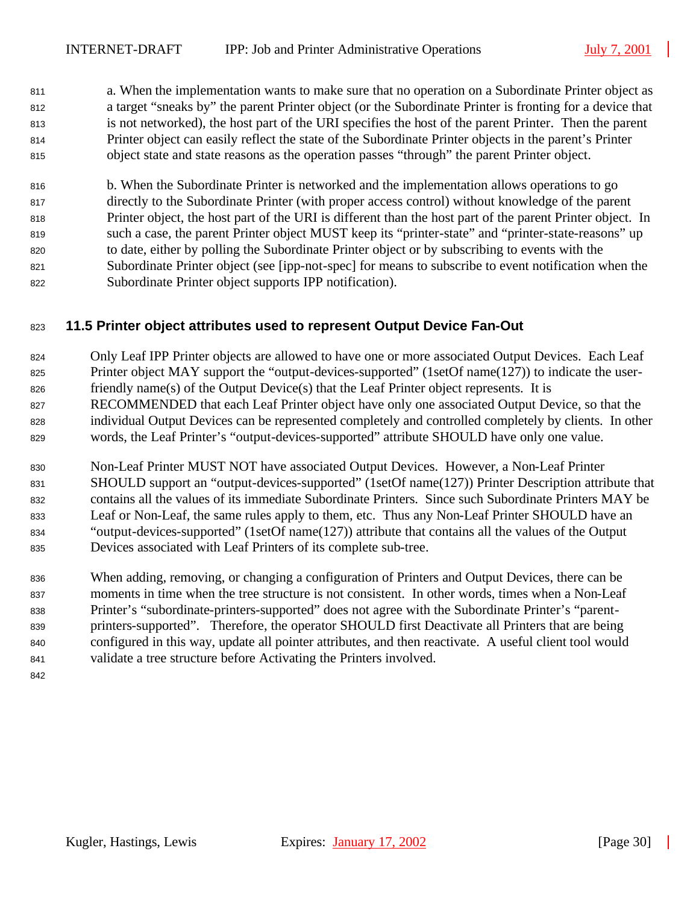a. When the implementation wants to make sure that no operation on a Subordinate Printer object as a target "sneaks by" the parent Printer object (or the Subordinate Printer is fronting for a device that is not networked), the host part of the URI specifies the host of the parent Printer. Then the parent Printer object can easily reflect the state of the Subordinate Printer objects in the parent's Printer object state and state reasons as the operation passes "through" the parent Printer object.

 b. When the Subordinate Printer is networked and the implementation allows operations to go directly to the Subordinate Printer (with proper access control) without knowledge of the parent Printer object, the host part of the URI is different than the host part of the parent Printer object. In such a case, the parent Printer object MUST keep its "printer-state" and "printer-state-reasons" up to date, either by polling the Subordinate Printer object or by subscribing to events with the Subordinate Printer object (see [ipp-not-spec] for means to subscribe to event notification when the Subordinate Printer object supports IPP notification).

## **11.5 Printer object attributes used to represent Output Device Fan-Out**

- Only Leaf IPP Printer objects are allowed to have one or more associated Output Devices. Each Leaf
- Printer object MAY support the "output-devices-supported" (1setOf name(127)) to indicate the user-
- friendly name(s) of the Output Device(s) that the Leaf Printer object represents. It is
- RECOMMENDED that each Leaf Printer object have only one associated Output Device, so that the individual Output Devices can be represented completely and controlled completely by clients. In other words, the Leaf Printer's "output-devices-supported" attribute SHOULD have only one value.
- Non-Leaf Printer MUST NOT have associated Output Devices. However, a Non-Leaf Printer SHOULD support an "output-devices-supported" (1setOf name(127)) Printer Description attribute that contains all the values of its immediate Subordinate Printers. Since such Subordinate Printers MAY be Leaf or Non-Leaf, the same rules apply to them, etc. Thus any Non-Leaf Printer SHOULD have an "output-devices-supported" (1setOf name(127)) attribute that contains all the values of the Output Devices associated with Leaf Printers of its complete sub-tree.
- When adding, removing, or changing a configuration of Printers and Output Devices, there can be moments in time when the tree structure is not consistent. In other words, times when a Non-Leaf Printer's "subordinate-printers-supported" does not agree with the Subordinate Printer's "parent- printers-supported". Therefore, the operator SHOULD first Deactivate all Printers that are being configured in this way, update all pointer attributes, and then reactivate. A useful client tool would validate a tree structure before Activating the Printers involved.
-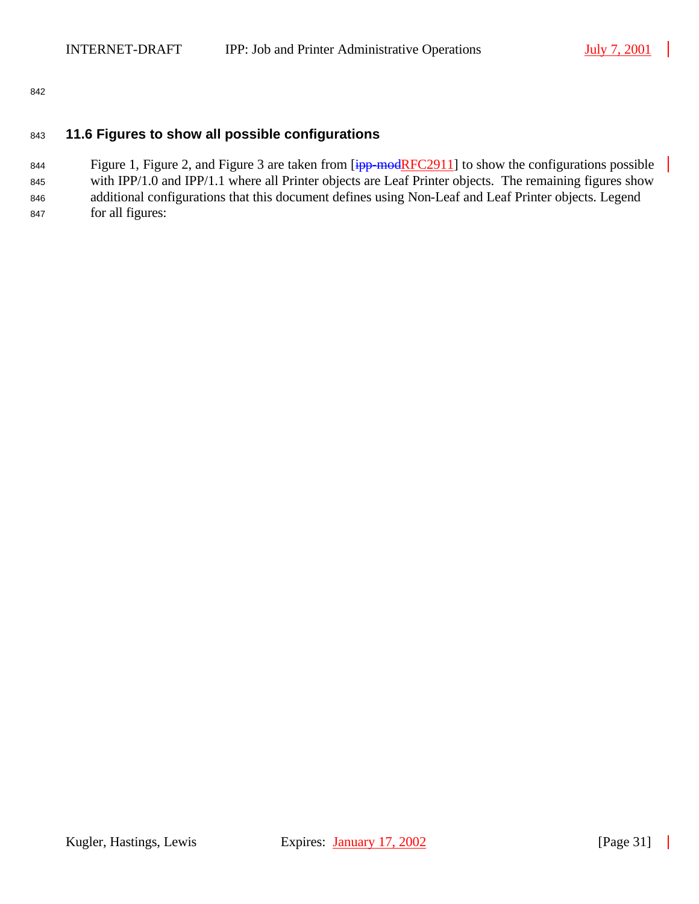842

#### <sup>843</sup> **11.6 Figures to show all possible configurations**

844 Figure 1, Figure 2, and Figure 3 are taken from  $\frac{1}{1}$  =  $\frac{1}{1}$  to show the configurations possible 845 with IPP/1.0 and IPP/1.1 where all Printer objects are Leaf Printer objects. The remaining figures show 846 additional configurations that this document defines using Non-Leaf and Leaf Printer objects. Legend <sup>847</sup> for all figures: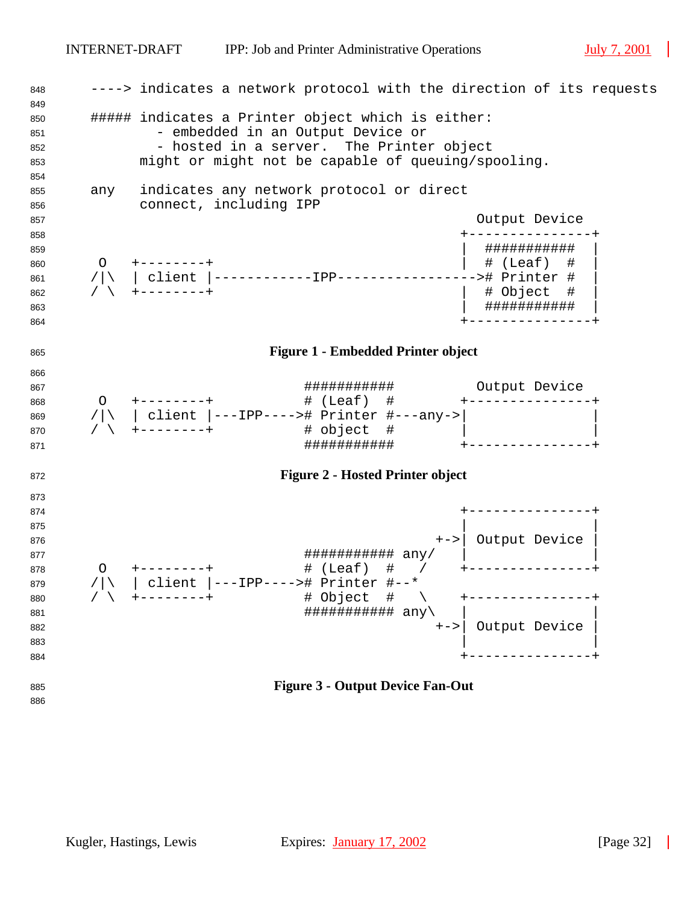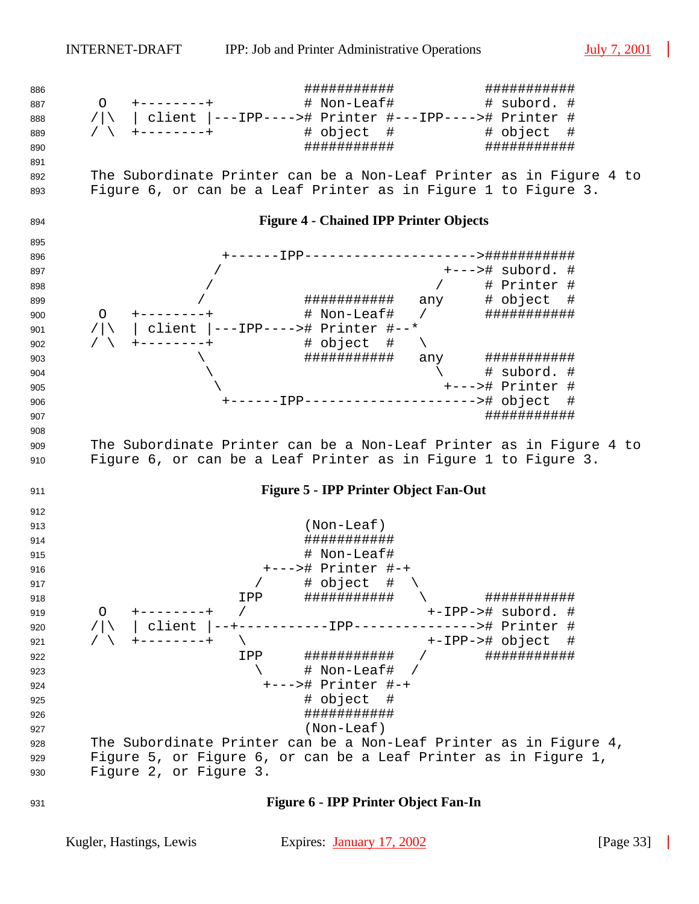

**Figure 6 - IPP Printer Object Fan-In**

Kugler, Hastings, Lewis Expires: January 17, 2002 [Page 33]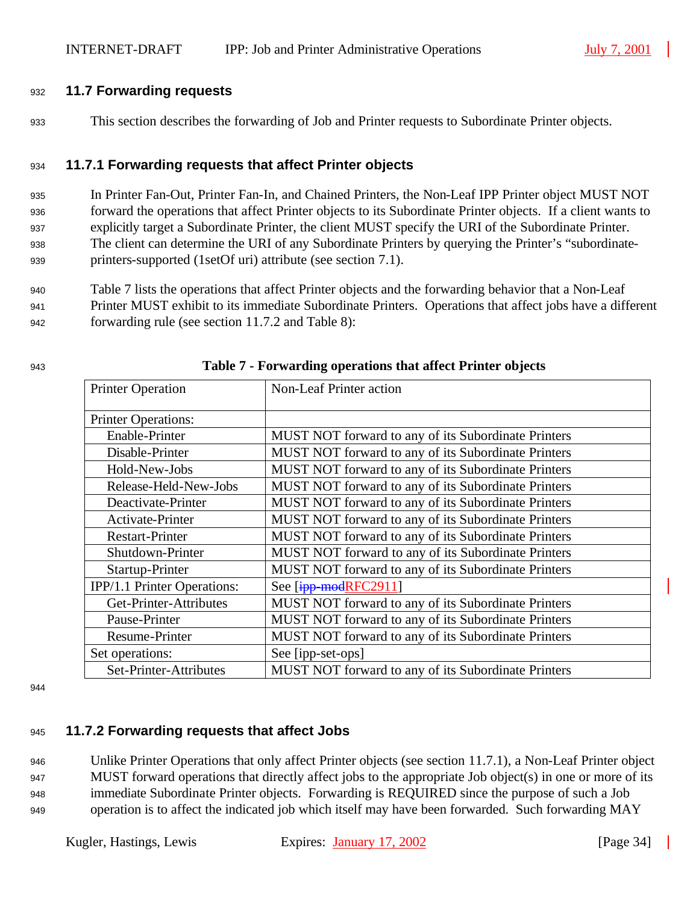#### <sup>932</sup> **11.7 Forwarding requests**

<sup>933</sup> This section describes the forwarding of Job and Printer requests to Subordinate Printer objects.

#### <sup>934</sup> **11.7.1 Forwarding requests that affect Printer objects**

 In Printer Fan-Out, Printer Fan-In, and Chained Printers, the Non-Leaf IPP Printer object MUST NOT forward the operations that affect Printer objects to its Subordinate Printer objects. If a client wants to explicitly target a Subordinate Printer, the client MUST specify the URI of the Subordinate Printer. The client can determine the URI of any Subordinate Printers by querying the Printer's "subordinate-printers-supported (1setOf uri) attribute (see section 7.1).

<sup>940</sup> Table 7 lists the operations that affect Printer objects and the forwarding behavior that a Non-Leaf <sup>941</sup> Printer MUST exhibit to its immediate Subordinate Printers. Operations that affect jobs have a different <sup>942</sup> forwarding rule (see section 11.7.2 and Table 8):

| <b>Printer Operation</b>    | Non-Leaf Printer action                             |
|-----------------------------|-----------------------------------------------------|
| <b>Printer Operations:</b>  |                                                     |
| <b>Enable-Printer</b>       | MUST NOT forward to any of its Subordinate Printers |
| Disable-Printer             | MUST NOT forward to any of its Subordinate Printers |
| Hold-New-Jobs               | MUST NOT forward to any of its Subordinate Printers |
| Release-Held-New-Jobs       | MUST NOT forward to any of its Subordinate Printers |
| Deactivate-Printer          | MUST NOT forward to any of its Subordinate Printers |
| Activate-Printer            | MUST NOT forward to any of its Subordinate Printers |
| <b>Restart-Printer</b>      | MUST NOT forward to any of its Subordinate Printers |
| Shutdown-Printer            | MUST NOT forward to any of its Subordinate Printers |
| Startup-Printer             | MUST NOT forward to any of its Subordinate Printers |
| IPP/1.1 Printer Operations: | See [ipp-modRFC2911]                                |
| Get-Printer-Attributes      | MUST NOT forward to any of its Subordinate Printers |
| Pause-Printer               | MUST NOT forward to any of its Subordinate Printers |
| Resume-Printer              | MUST NOT forward to any of its Subordinate Printers |
| Set operations:             | See [ipp-set-ops]                                   |
| Set-Printer-Attributes      | MUST NOT forward to any of its Subordinate Printers |

#### <sup>943</sup> **Table 7 - Forwarding operations that affect Printer objects**

944

### <sup>945</sup> **11.7.2 Forwarding requests that affect Jobs**

 Unlike Printer Operations that only affect Printer objects (see section 11.7.1), a Non-Leaf Printer object MUST forward operations that directly affect jobs to the appropriate Job object(s) in one or more of its immediate Subordinate Printer objects. Forwarding is REQUIRED since the purpose of such a Job operation is to affect the indicated job which itself may have been forwarded. Such forwarding MAY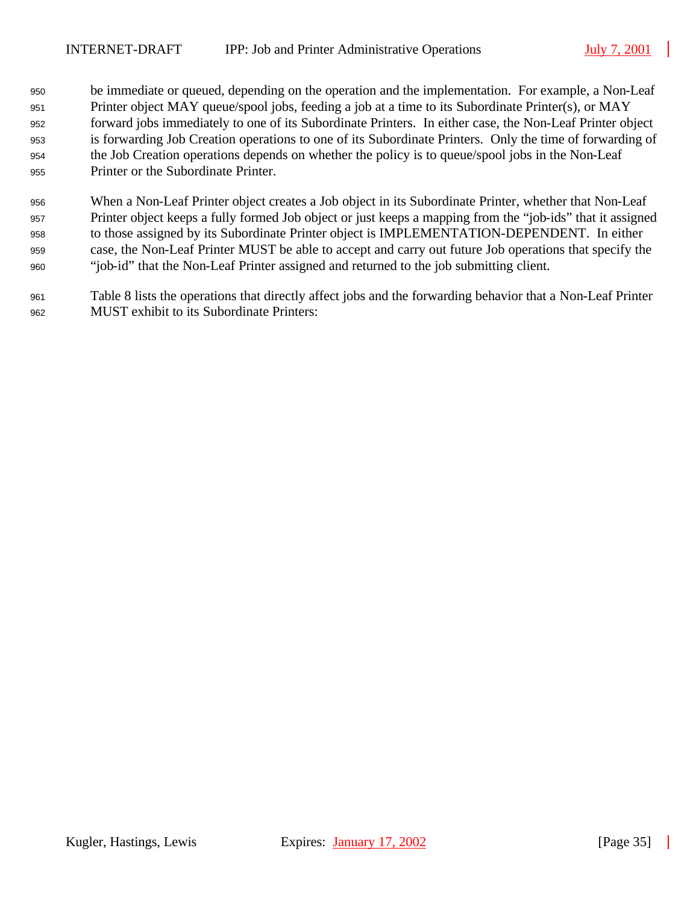- be immediate or queued, depending on the operation and the implementation. For example, a Non-Leaf Printer object MAY queue/spool jobs, feeding a job at a time to its Subordinate Printer(s), or MAY forward jobs immediately to one of its Subordinate Printers. In either case, the Non-Leaf Printer object is forwarding Job Creation operations to one of its Subordinate Printers. Only the time of forwarding of the Job Creation operations depends on whether the policy is to queue/spool jobs in the Non-Leaf Printer or the Subordinate Printer.
- When a Non-Leaf Printer object creates a Job object in its Subordinate Printer, whether that Non-Leaf Printer object keeps a fully formed Job object or just keeps a mapping from the "job-ids" that it assigned to those assigned by its Subordinate Printer object is IMPLEMENTATION-DEPENDENT. In either case, the Non-Leaf Printer MUST be able to accept and carry out future Job operations that specify the "job-id" that the Non-Leaf Printer assigned and returned to the job submitting client.
- Table 8 lists the operations that directly affect jobs and the forwarding behavior that a Non-Leaf Printer MUST exhibit to its Subordinate Printers: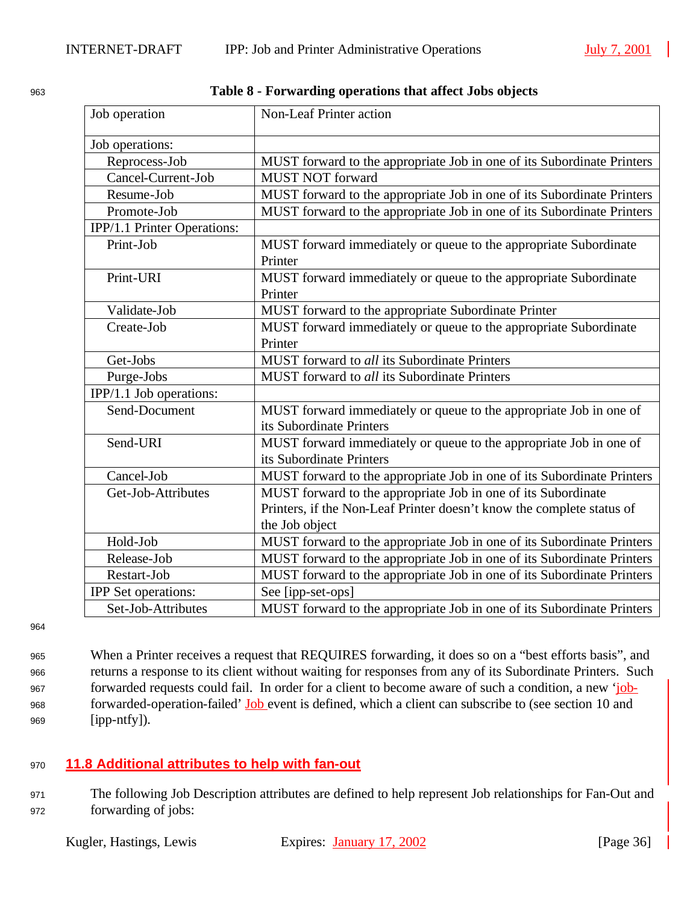| Job operation               | <b>Non-Leaf Printer action</b>                                         |
|-----------------------------|------------------------------------------------------------------------|
| Job operations:             |                                                                        |
| Reprocess-Job               | MUST forward to the appropriate Job in one of its Subordinate Printers |
| Cancel-Current-Job          | <b>MUST NOT forward</b>                                                |
| Resume-Job                  | MUST forward to the appropriate Job in one of its Subordinate Printers |
| Promote-Job                 | MUST forward to the appropriate Job in one of its Subordinate Printers |
| IPP/1.1 Printer Operations: |                                                                        |
| Print-Job                   | MUST forward immediately or queue to the appropriate Subordinate       |
|                             | Printer                                                                |
| Print-URI                   | MUST forward immediately or queue to the appropriate Subordinate       |
|                             | Printer                                                                |
| Validate-Job                | MUST forward to the appropriate Subordinate Printer                    |
| Create-Job                  | MUST forward immediately or queue to the appropriate Subordinate       |
|                             | Printer                                                                |
| Get-Jobs                    | MUST forward to all its Subordinate Printers                           |
| Purge-Jobs                  | MUST forward to all its Subordinate Printers                           |
| IPP/1.1 Job operations:     |                                                                        |
| Send-Document               | MUST forward immediately or queue to the appropriate Job in one of     |
|                             | its Subordinate Printers                                               |
| Send-URI                    | MUST forward immediately or queue to the appropriate Job in one of     |
|                             | its Subordinate Printers                                               |
| Cancel-Job                  | MUST forward to the appropriate Job in one of its Subordinate Printers |
| Get-Job-Attributes          | MUST forward to the appropriate Job in one of its Subordinate          |
|                             | Printers, if the Non-Leaf Printer doesn't know the complete status of  |
|                             | the Job object                                                         |
| Hold-Job                    | MUST forward to the appropriate Job in one of its Subordinate Printers |
| Release-Job                 | MUST forward to the appropriate Job in one of its Subordinate Printers |
| Restart-Job                 | MUST forward to the appropriate Job in one of its Subordinate Printers |
| <b>IPP</b> Set operations:  | See [ipp-set-ops]                                                      |
| Set-Job-Attributes          | MUST forward to the appropriate Job in one of its Subordinate Printers |

<sup>963</sup> **Table 8 - Forwarding operations that affect Jobs objects**

964

 When a Printer receives a request that REQUIRES forwarding, it does so on a "best efforts basis", and returns a response to its client without waiting for responses from any of its Subordinate Printers. Such forwarded requests could fail. In order for a client to become aware of such a condition, a new 'job- forwarded-operation-failed' Job event is defined, which a client can subscribe to (see section 10 and [ipp-ntfy]).

### <sup>970</sup> **11.8 Additional attributes to help with fan-out**

<sup>971</sup> The following Job Description attributes are defined to help represent Job relationships for Fan-Out and <sup>972</sup> forwarding of jobs: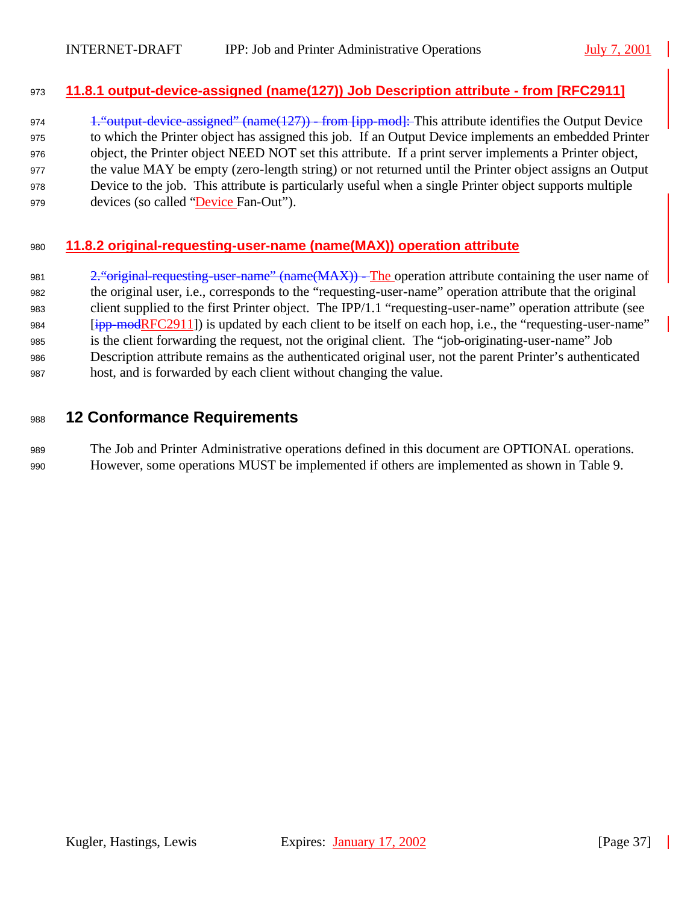#### **11.8.1 output-device-assigned (name(127)) Job Description attribute - from [RFC2911]**

974 1. "output-device-assigned" (name(127)) - from [ipp-mod]: This attribute identifies the Output Device to which the Printer object has assigned this job. If an Output Device implements an embedded Printer object, the Printer object NEED NOT set this attribute. If a print server implements a Printer object, the value MAY be empty (zero-length string) or not returned until the Printer object assigns an Output Device to the job. This attribute is particularly useful when a single Printer object supports multiple devices (so called "Device Fan-Out").

### **11.8.2 original-requesting-user-name (name(MAX)) operation attribute**

981 2. "original-requesting-user-name" (name(MAX)) - The operation attribute containing the user name of the original user, i.e., corresponds to the "requesting-user-name" operation attribute that the original client supplied to the first Printer object. The IPP/1.1 "requesting-user-name" operation attribute (see [ipp-modRFC2911]) is updated by each client to be itself on each hop, i.e., the "requesting-user-name" is the client forwarding the request, not the original client. The "job-originating-user-name" Job Description attribute remains as the authenticated original user, not the parent Printer's authenticated host, and is forwarded by each client without changing the value.

## **12 Conformance Requirements**

 The Job and Printer Administrative operations defined in this document are OPTIONAL operations. However, some operations MUST be implemented if others are implemented as shown in Table 9.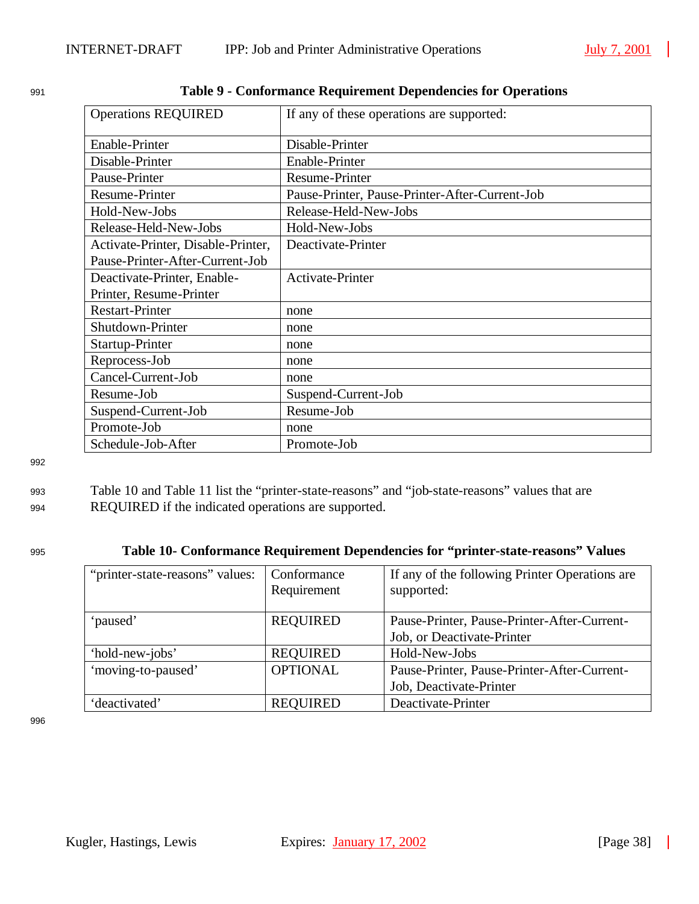| <b>Operations REQUIRED</b>         | If any of these operations are supported:      |
|------------------------------------|------------------------------------------------|
| Enable-Printer                     | Disable-Printer                                |
| Disable-Printer                    | Enable-Printer                                 |
| Pause-Printer                      | <b>Resume-Printer</b>                          |
| <b>Resume-Printer</b>              | Pause-Printer, Pause-Printer-After-Current-Job |
| Hold-New-Jobs                      | Release-Held-New-Jobs                          |
| Release-Held-New-Jobs              | Hold-New-Jobs                                  |
| Activate-Printer, Disable-Printer, | Deactivate-Printer                             |
| Pause-Printer-After-Current-Job    |                                                |
| Deactivate-Printer, Enable-        | Activate-Printer                               |
| Printer, Resume-Printer            |                                                |
| <b>Restart-Printer</b>             | none                                           |
| Shutdown-Printer                   | none                                           |
| Startup-Printer                    | none                                           |
| Reprocess-Job                      | none                                           |
| Cancel-Current-Job                 | none                                           |
| Resume-Job                         | Suspend-Current-Job                            |
| Suspend-Current-Job                | Resume-Job                                     |
| Promote-Job                        | none                                           |
| Schedule-Job-After                 | Promote-Job                                    |

| 991 | Table 9 - Conformance Requirement Dependencies for Operations |  |  |
|-----|---------------------------------------------------------------|--|--|
|     |                                                               |  |  |

992

### <sup>993</sup> Table 10 and Table 11 list the "printer-state-reasons" and "job-state-reasons" values that are 994 REQUIRED if the indicated operations are supported.

## <sup>995</sup> **Table 10- Conformance Requirement Dependencies for "printer-state-reasons" Values**

| "printer-state-reasons" values: | Conformance<br>Requirement | If any of the following Printer Operations are<br>supported: |
|---------------------------------|----------------------------|--------------------------------------------------------------|
| 'paused'                        | <b>REQUIRED</b>            | Pause-Printer, Pause-Printer-After-Current-                  |
|                                 |                            | Job, or Deactivate-Printer                                   |
| 'hold-new-jobs'                 | <b>REQUIRED</b>            | Hold-New-Jobs                                                |
| 'moving-to-paused'              | <b>OPTIONAL</b>            | Pause-Printer, Pause-Printer-After-Current-                  |
|                                 |                            | Job, Deactivate-Printer                                      |
| 'deactivated'                   | <b>REQUIRED</b>            | Deactivate-Printer                                           |

996

 $\mathcal{L}$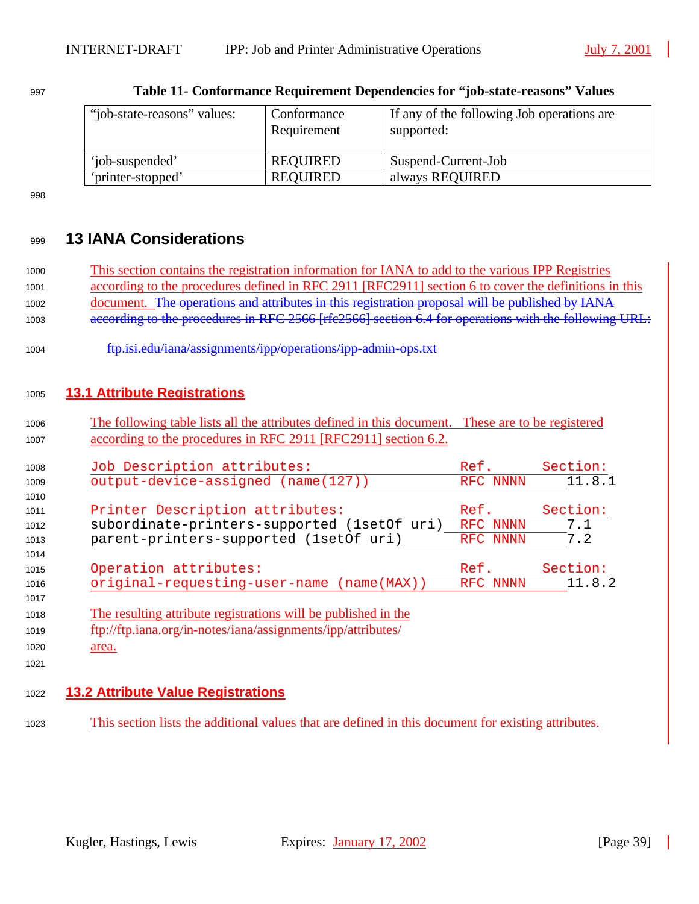| "job-state-reasons" values: | Conformance<br>Requirement | If any of the following Job operations are<br>supported: |
|-----------------------------|----------------------------|----------------------------------------------------------|
| 'iob-suspended'             | REQUIRED                   | Suspend-Current-Job                                      |
| 'printer-stopped'           | REOUIRED                   | always REQUIRED                                          |

| 997 | Table 11- Conformance Requirement Dependencies for "job-state-reasons" Values |
|-----|-------------------------------------------------------------------------------|
|     |                                                                               |

## **13 IANA Considerations**

| 1000 |  |  | This section contains the registration information for IANA to add to the various IPP Registries     |  |  |
|------|--|--|------------------------------------------------------------------------------------------------------|--|--|
| 1001 |  |  | according to the procedures defined in RFC 2911 [RFC2911] section 6 to cover the definitions in this |  |  |
|      |  |  |                                                                                                      |  |  |

- document. The operations and attributes in this registration proposal will be published by IANA
- 1003 according to the procedures in RFC 2566 [rfc2566] section 6.4 for operations with the following URL:
- ftp.isi.edu/iana/assignments/ipp/operations/ipp-admin-ops.txt

## **13.1 Attribute Registrations**

 The following table lists all the attributes defined in this document. These are to be registered 1007 according to the procedures in RFC 2911 [RFC2911] section 6.2.

| 1008 | Job Description attributes:                                    | Ref.     | Section: |
|------|----------------------------------------------------------------|----------|----------|
| 1009 | output-device-assigned (name(127))                             | RFC NNNN | 11.8.1   |
| 1010 |                                                                |          |          |
| 1011 | Printer Description attributes:                                | Ref.     | Section: |
| 1012 | subordinate-printers-supported (1setOf uri)                    | RFC NNNN | 7.1      |
| 1013 | parent-printers-supported (lsetOf uri)                         | RFC NNNN | 7.2      |
| 1014 |                                                                |          |          |
| 1015 | Operation attributes:                                          | Ref.     | Section: |
| 1016 | original-requesting-user-name (name(MAX))                      | RFC NNNN | 11.8.2   |
| 1017 |                                                                |          |          |
| 1018 | The resulting attribute registrations will be published in the |          |          |
| 1019 | ftp://ftp.iana.org/in-notes/iana/assignments/ipp/attributes/   |          |          |

1020 area.

**13.2 Attribute Value Registrations**

This section lists the additional values that are defined in this document for existing attributes.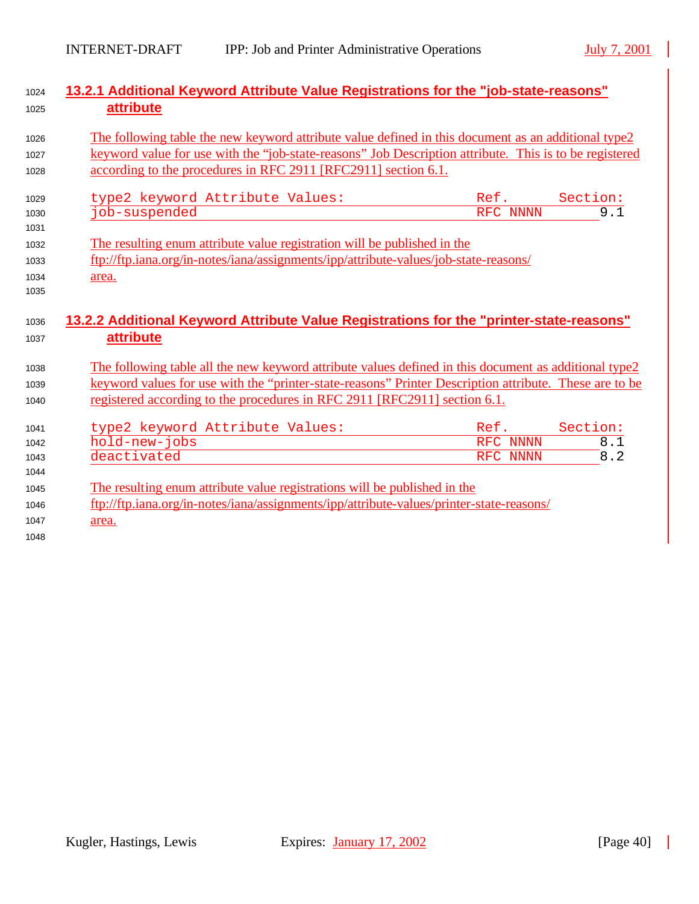| 13.2.1 Additional Keyword Attribute Value Registrations for the "job-state-reasons"<br>attribute       |          |                  |
|--------------------------------------------------------------------------------------------------------|----------|------------------|
|                                                                                                        |          |                  |
| The following table the new keyword attribute value defined in this document as an additional type2    |          |                  |
| keyword value for use with the "job-state-reasons" Job Description attribute. This is to be registered |          |                  |
| according to the procedures in RFC 2911 [RFC2911] section 6.1.                                         |          |                  |
| type2 keyword Attribute Values:                                                                        | Ref.     | Section:         |
| job-suspended                                                                                          | RFC NNNN | $\overline{9.1}$ |
|                                                                                                        |          |                  |
| The resulting enum attribute value registration will be published in the                               |          |                  |
| ftp://ftp.iana.org/in-notes/iana/assignments/ipp/attribute-values/job-state-reasons/                   |          |                  |
| area.                                                                                                  |          |                  |
|                                                                                                        |          |                  |
| 13.2.2 Additional Keyword Attribute Value Registrations for the "printer-state-reasons"<br>attribute   |          |                  |
|                                                                                                        |          |                  |
| The following table all the new keyword attribute values defined in this document as additional type2  |          |                  |
| keyword values for use with the "printer-state-reasons" Printer Description attribute. These are to be |          |                  |
| registered according to the procedures in RFC 2911 [RFC2911] section 6.1.                              |          |                  |
| type2 keyword Attribute Values:                                                                        | Ref.     | Section:         |
| $\overline{\text{hold}}$ -new-jobs                                                                     | RFC NNNN | 8.1              |
| deactivated                                                                                            | RFC NNNN | 8.2              |
|                                                                                                        |          |                  |
| The resulting enum attribute value registrations will be published in the                              |          |                  |
| ftp://ftp.iana.org/in-notes/iana/assignments/ipp/attribute-values/printer-state-reasons/               |          |                  |
| area.                                                                                                  |          |                  |
|                                                                                                        |          |                  |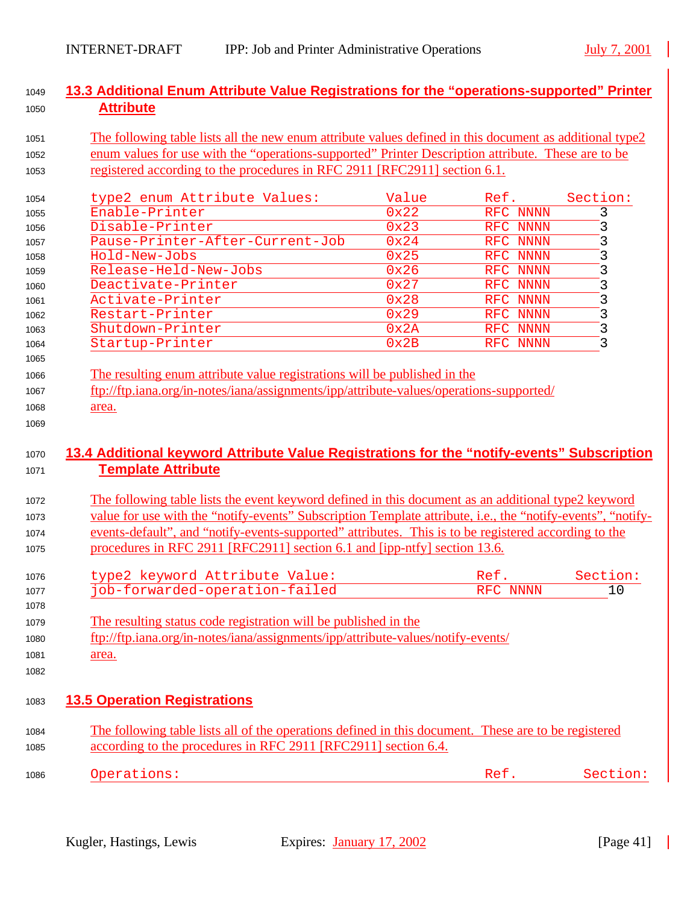### <sup>1049</sup> **13.3 Additional Enum Attribute Value Registrations for the "operations-supported" Printer**  <sup>1050</sup> **Attribute**

### <sup>1051</sup> The following table lists all the new enum attribute values defined in this document as additional type2 <sup>1052</sup> enum values for use with the "operations-supported" Printer Description attribute. These are to be <sup>1053</sup> registered according to the procedures in RFC 2911 [RFC2911] section 6.1.

| 1054                     | type2 enum Attribute Values:                                                                                                                                         | Value | Ref.        | Section: |
|--------------------------|----------------------------------------------------------------------------------------------------------------------------------------------------------------------|-------|-------------|----------|
| 1055                     | Enable-Printer                                                                                                                                                       | 0x22  | RFC NNNN    | 3        |
| 1056                     | Disable-Printer                                                                                                                                                      | 0x23  | RFC NNNN    | 3        |
| 1057                     | Pause-Printer-After-Current-Job                                                                                                                                      | 0x24  | RFC NNNN    | 3        |
| 1058                     | Hold-New-Jobs                                                                                                                                                        | 0x25  | RFC<br>NNNN | 3        |
| 1059                     | Release-Held-New-Jobs                                                                                                                                                | 0x26  | RFC NNNN    | 3        |
| 1060                     | Deactivate-Printer                                                                                                                                                   | 0x27  | RFC NNNN    | 3        |
| 1061                     | Activate-Printer                                                                                                                                                     | 0x28  | RFC NNNN    | 3        |
| 1062                     | Restart-Printer                                                                                                                                                      | 0x29  | RFC NNNN    | 3        |
| 1063                     | Shutdown-Printer                                                                                                                                                     | 0x2A  | RFC NNNN    | 3        |
| 1064                     | Startup-Printer                                                                                                                                                      | 0x2B  | RFC NNNN    | 3        |
| 1065<br>1066<br>1067     | The resulting enum attribute value registrations will be published in the<br>ftp://ftp.iana.org/in-notes/iana/assignments/ipp/attribute-values/operations-supported/ |       |             |          |
| 1068                     | area.                                                                                                                                                                |       |             |          |
| 1069                     |                                                                                                                                                                      |       |             |          |
| 1070<br>1071             | 13.4 Additional keyword Attribute Value Registrations for the "notify-events" Subscription<br><b>Template Attribute</b>                                              |       |             |          |
| $\overline{\phantom{a}}$ | The following toble lists the group becaused defined in this decompant open additional trueA becaused                                                                |       |             |          |

- <sup>1072</sup> The following table lists the event keyword defined in this document as an additional type2 keyword <sup>1073</sup> value for use with the "notify-events" Subscription Template attribute, i.e., the "notify-events", "notify-<sup>1074</sup> events-default", and "notify-events-supported" attributes. This is to be registered according to the <sup>1075</sup> procedures in RFC 2911 [RFC2911] section 6.1 and [ipp-ntfy] section 13.6.
- 1076 type2 keyword Attribute Value: The Ref. Section: 1077 job-forwarded-operation-failed RFC NNNN 10
- <sup>1079</sup> The resulting status code registration will be published in the
- <sup>1080</sup> ftp://ftp.iana.org/in-notes/iana/assignments/ipp/attribute-values/notify-events/
- 1081 area.
- 1082

1078

## <sup>1083</sup> **13.5 Operation Registrations**

- <sup>1084</sup> The following table lists all of the operations defined in this document. These are to be registered <sup>1085</sup> according to the procedures in RFC 2911 [RFC2911] section 6.4.
- <sup>1086</sup> Operations: Ref. Section: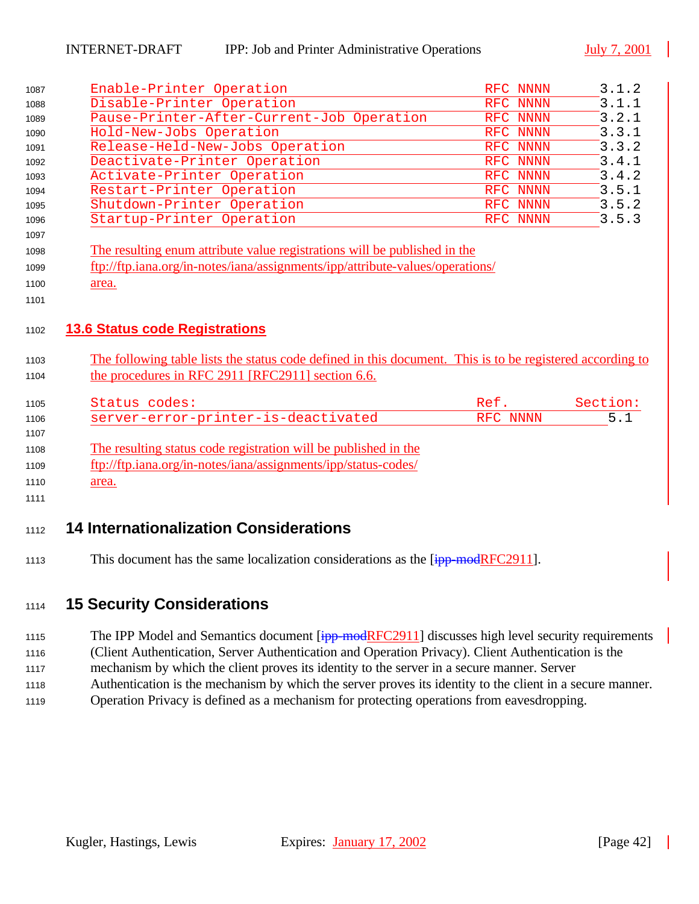|              | Enable-Printer Operation                                                                                                                                       | RFC NNNN | 3.1.2    |
|--------------|----------------------------------------------------------------------------------------------------------------------------------------------------------------|----------|----------|
| 1088         | Disable-Printer Operation                                                                                                                                      | RFC NNNN | 3.1.1    |
| 1089         | Pause-Printer-After-Current-Job Operation                                                                                                                      | RFC NNNN | 3.2.1    |
| 1090         | Hold-New-Jobs Operation                                                                                                                                        | RFC NNNN | 3.3.1    |
| 1091         | Release-Held-New-Jobs Operation                                                                                                                                | RFC NNNN | 3.3.2    |
| 1092         | Deactivate-Printer Operation                                                                                                                                   | RFC NNNN | 3.4.1    |
| 1093         | Activate-Printer Operation                                                                                                                                     | RFC NNNN | 3.4.2    |
| 1094         | Restart-Printer Operation                                                                                                                                      | RFC NNNN | 3.5.1    |
| 1095         | Shutdown-Printer Operation                                                                                                                                     | RFC NNNN | 3.5.2    |
| 1096         | Startup-Printer Operation                                                                                                                                      | RFC NNNN | 3.5.3    |
| 1097         |                                                                                                                                                                |          |          |
| 1098         | The resulting enum attribute value registrations will be published in the                                                                                      |          |          |
| 1099         | ftp://ftp.iana.org/in-notes/iana/assignments/ipp/attribute-values/operations/                                                                                  |          |          |
| 1100         | area.                                                                                                                                                          |          |          |
| 1101         |                                                                                                                                                                |          |          |
| 1103<br>1104 |                                                                                                                                                                |          |          |
|              | The following table lists the status code defined in this document. This is to be registered according to<br>the procedures in RFC 2911 [RFC2911] section 6.6. |          |          |
| 1105         | Status codes:                                                                                                                                                  | Ref.     | Section: |
| 1106         | server-error-printer-is-deactivated                                                                                                                            | RFC NNNN | 5.1      |
| 1107         |                                                                                                                                                                |          |          |
| 1108         | The resulting status code registration will be published in the                                                                                                |          |          |
| 1109         | ftp://ftp.iana.org/in-notes/iana/assignments/ipp/status-codes/                                                                                                 |          |          |
| 1110         | area.                                                                                                                                                          |          |          |
| 1111         |                                                                                                                                                                |          |          |
|              |                                                                                                                                                                |          |          |
| 1112         | <b>14 Internationalization Considerations</b>                                                                                                                  |          |          |
| 1113         | This document has the same localization considerations as the [ipp-modRFC2911].                                                                                |          |          |

## <sup>1114</sup> **15 Security Considerations**

- 1115 The IPP Model and Semantics document [ipp-modRFC2911] discusses high level security requirements
- <sup>1116</sup> (Client Authentication, Server Authentication and Operation Privacy). Client Authentication is the
- <sup>1117</sup> mechanism by which the client proves its identity to the server in a secure manner. Server
- <sup>1118</sup> Authentication is the mechanism by which the server proves its identity to the client in a secure manner.
- <sup>1119</sup> Operation Privacy is defined as a mechanism for protecting operations from eavesdropping.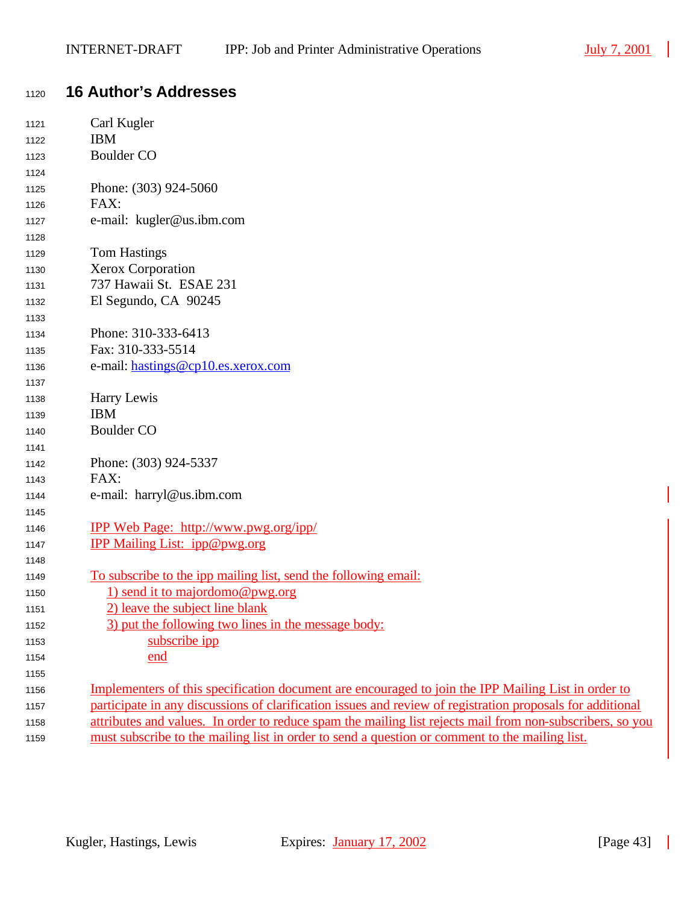# **16 Author's Addresses**

| 1121 | Carl Kugler                                                                                                |
|------|------------------------------------------------------------------------------------------------------------|
| 1122 | <b>IBM</b>                                                                                                 |
| 1123 | <b>Boulder CO</b>                                                                                          |
| 1124 |                                                                                                            |
| 1125 | Phone: (303) 924-5060                                                                                      |
| 1126 | FAX:                                                                                                       |
| 1127 | e-mail: kugler@us.ibm.com                                                                                  |
| 1128 |                                                                                                            |
| 1129 | <b>Tom Hastings</b>                                                                                        |
| 1130 | <b>Xerox Corporation</b>                                                                                   |
| 1131 | 737 Hawaii St. ESAE 231                                                                                    |
| 1132 | El Segundo, CA 90245                                                                                       |
| 1133 |                                                                                                            |
| 1134 | Phone: 310-333-6413                                                                                        |
| 1135 | Fax: 310-333-5514                                                                                          |
| 1136 | e-mail: hastings@cp10.es.xerox.com                                                                         |
| 1137 |                                                                                                            |
| 1138 | Harry Lewis                                                                                                |
| 1139 | <b>IBM</b>                                                                                                 |
| 1140 | <b>Boulder CO</b>                                                                                          |
| 1141 |                                                                                                            |
| 1142 | Phone: (303) 924-5337                                                                                      |
| 1143 | FAX:                                                                                                       |
| 1144 | e-mail: harryl@us.ibm.com                                                                                  |
| 1145 |                                                                                                            |
| 1146 | <u>IPP Web Page: http://www.pwg.org/ipp/</u>                                                               |
| 1147 | <b>IPP Mailing List: ipp@pwg.org</b>                                                                       |
| 1148 |                                                                                                            |
| 1149 | <u>To subscribe to the ipp mailing list, send the following email:</u>                                     |
| 1150 | 1) send it to majordomo@pwg.org                                                                            |
| 1151 | 2) leave the subject line blank                                                                            |
| 1152 | 3) put the following two lines in the message body:                                                        |
| 1153 | subscribe ipp                                                                                              |
| 1154 | end                                                                                                        |
| 1155 |                                                                                                            |
| 1156 | Implementers of this specification document are encouraged to join the IPP Mailing List in order to        |
| 1157 | participate in any discussions of clarification issues and review of registration proposals for additional |
| 1158 | attributes and values. In order to reduce spam the mailing list rejects mail from non-subscribers, so you  |
| 1159 | must subscribe to the mailing list in order to send a question or comment to the mailing list.             |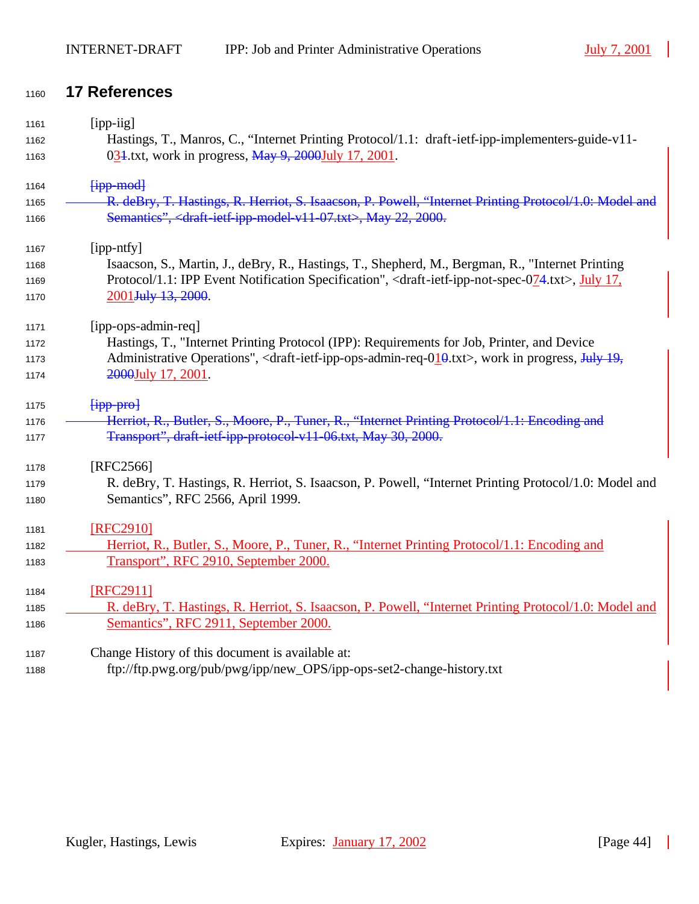## <sup>1160</sup> **17 References**

| 1161 | [ipp-iig]                                                                                                                                                                        |
|------|----------------------------------------------------------------------------------------------------------------------------------------------------------------------------------|
| 1162 | Hastings, T., Manros, C., "Internet Printing Protocol/1.1: draft-ietf-ipp-implementers-guide-v11-                                                                                |
| 1163 | 031.txt, work in progress, May 9, 2000July 17, 2001.                                                                                                                             |
| 1164 | $f$ ipp-mod                                                                                                                                                                      |
| 1165 | R. deBry, T. Hastings, R. Herriot, S. Isaacson, P. Powell, "Internet Printing Protocol/1.0: Model and                                                                            |
| 1166 | Semantics", <draft-ietf-ipp-model-v11-07.txt>, May 22, 2000.</draft-ietf-ipp-model-v11-07.txt>                                                                                   |
| 1167 | [ipp-ntfy]                                                                                                                                                                       |
| 1168 | Isaacson, S., Martin, J., deBry, R., Hastings, T., Shepherd, M., Bergman, R., "Internet Printing                                                                                 |
| 1169 | Protocol/1.1: IPP Event Notification Specification", <draft-ietf-ipp-not-spec-074.txt>, July 17,</draft-ietf-ipp-not-spec-074.txt>                                               |
| 1170 | 2001 July 13, 2000.                                                                                                                                                              |
| 1171 | [ipp-ops-admin-req]                                                                                                                                                              |
| 1172 | Hastings, T., "Internet Printing Protocol (IPP): Requirements for Job, Printer, and Device                                                                                       |
| 1173 | Administrative Operations", <draft-ietf-ipp-ops-admin-req-<math>010.txt&gt;, work in progress, <math>\frac{1 \text{u} \cdot 19}{19}</math>,</draft-ietf-ipp-ops-admin-req-<math> |
| 1174 | 2000July 17, 2001.                                                                                                                                                               |
| 1175 | $f$ ipp-pro $f$                                                                                                                                                                  |
| 1176 | Herriot, R., Butler, S., Moore, P., Tuner, R., "Internet Printing Protocol/1.1: Encoding and                                                                                     |
| 1177 | Transport", draft-ietf-ipp-protocol-v11-06.txt, May 30, 2000.                                                                                                                    |
| 1178 | $[RFC2566]$                                                                                                                                                                      |
| 1179 | R. deBry, T. Hastings, R. Herriot, S. Isaacson, P. Powell, "Internet Printing Protocol/1.0: Model and                                                                            |
| 1180 | Semantics", RFC 2566, April 1999.                                                                                                                                                |
| 1181 | [RFC2910]                                                                                                                                                                        |
| 1182 | Herriot, R., Butler, S., Moore, P., Tuner, R., "Internet Printing Protocol/1.1: Encoding and                                                                                     |
| 1183 | Transport", RFC 2910, September 2000.                                                                                                                                            |
| 1184 | [RFC2911]                                                                                                                                                                        |
| 1185 | R. deBry, T. Hastings, R. Herriot, S. Isaacson, P. Powell, "Internet Printing Protocol/1.0: Model and                                                                            |
| 1186 | Semantics", RFC 2911, September 2000.                                                                                                                                            |
| 1187 | Change History of this document is available at:                                                                                                                                 |

<sup>1188</sup> ftp://ftp.pwg.org/pub/pwg/ipp/new\_OPS/ipp-ops-set2-change-history.txt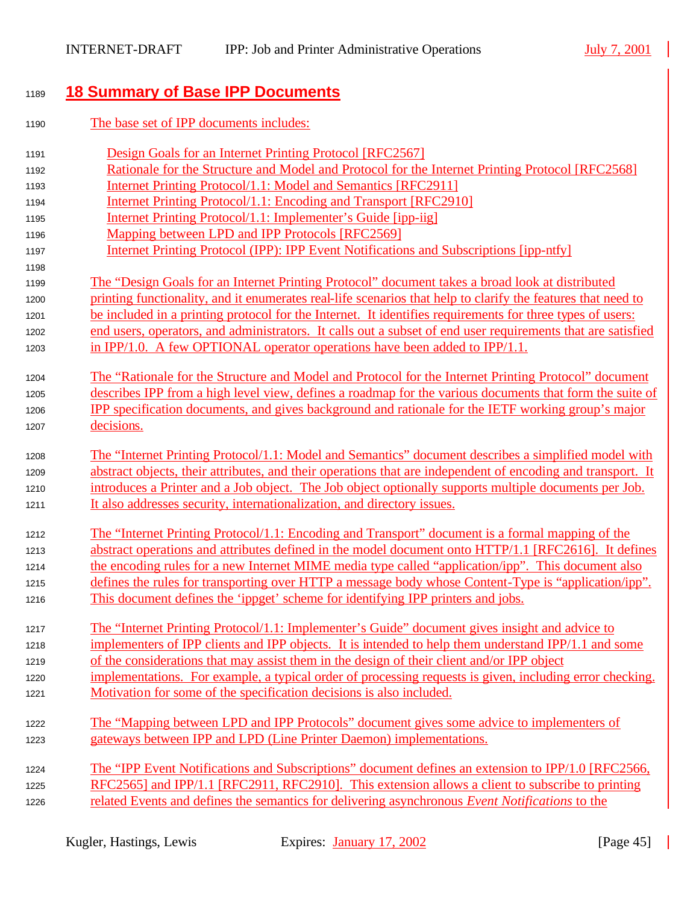# <sup>1189</sup> **18 Summary of Base IPP Documents**

| 1190 | The base set of IPP documents includes:                                                                      |
|------|--------------------------------------------------------------------------------------------------------------|
| 1191 | Design Goals for an Internet Printing Protocol [RFC2567]                                                     |
| 1192 | Rationale for the Structure and Model and Protocol for the Internet Printing Protocol [RFC2568]              |
| 1193 | <b>Internet Printing Protocol/1.1: Model and Semantics [RFC2911]</b>                                         |
| 1194 | Internet Printing Protocol/1.1: Encoding and Transport [RFC2910]                                             |
| 1195 | Internet Printing Protocol/1.1: Implementer's Guide [ipp-iig]                                                |
| 1196 | Mapping between LPD and IPP Protocols [RFC2569]                                                              |
| 1197 | Internet Printing Protocol (IPP): IPP Event Notifications and Subscriptions [ipp-ntfy]                       |
| 1198 |                                                                                                              |
| 1199 | The "Design Goals for an Internet Printing Protocol" document takes a broad look at distributed              |
| 1200 | printing functionality, and it enumerates real-life scenarios that help to clarify the features that need to |
| 1201 | be included in a printing protocol for the Internet. It identifies requirements for three types of users:    |
| 1202 | end users, operators, and administrators. It calls out a subset of end user requirements that are satisfied  |
| 1203 | in IPP/1.0. A few OPTIONAL operator operations have been added to IPP/1.1.                                   |
| 1204 | The "Rationale for the Structure and Model and Protocol for the Internet Printing Protocol" document         |
| 1205 | describes IPP from a high level view, defines a roadmap for the various documents that form the suite of     |
| 1206 | IPP specification documents, and gives background and rationale for the IETF working group's major           |
| 1207 | decisions.                                                                                                   |
| 1208 | The "Internet Printing Protocol/1.1: Model and Semantics" document describes a simplified model with         |
| 1209 | abstract objects, their attributes, and their operations that are independent of encoding and transport. It  |
| 1210 | introduces a Printer and a Job object. The Job object optionally supports multiple documents per Job.        |
| 1211 | It also addresses security, internationalization, and directory issues.                                      |
| 1212 | The "Internet Printing Protocol/1.1: Encoding and Transport" document is a formal mapping of the             |
| 1213 | abstract operations and attributes defined in the model document onto HTTP/1.1 [RFC2616]. It defines         |
| 1214 | the encoding rules for a new Internet MIME media type called "application/ipp". This document also           |
| 1215 | defines the rules for transporting over HTTP a message body whose Content-Type is "application/ipp".         |
| 1216 | This document defines the 'ippget' scheme for identifying IPP printers and jobs.                             |
| 1217 | The "Internet Printing Protocol/1.1: Implementer's Guide" document gives insight and advice to               |
| 1218 | implementers of IPP clients and IPP objects. It is intended to help them understand IPP/1.1 and some         |
| 1219 | of the considerations that may assist them in the design of their client and/or IPP object                   |
| 1220 | implementations. For example, a typical order of processing requests is given, including error checking.     |
| 1221 | Motivation for some of the specification decisions is also included.                                         |
| 1222 | The "Mapping between LPD and IPP Protocols" document gives some advice to implementers of                    |
| 1223 | gateways between IPP and LPD (Line Printer Daemon) implementations.                                          |
| 1224 | The "IPP Event Notifications and Subscriptions" document defines an extension to IPP/1.0 [RFC2566,           |
| 1225 | RFC2565] and IPP/1.1 [RFC2911, RFC2910]. This extension allows a client to subscribe to printing             |
| 1226 | related Events and defines the semantics for delivering asynchronous Event Notifications to the              |

 $\blacksquare$